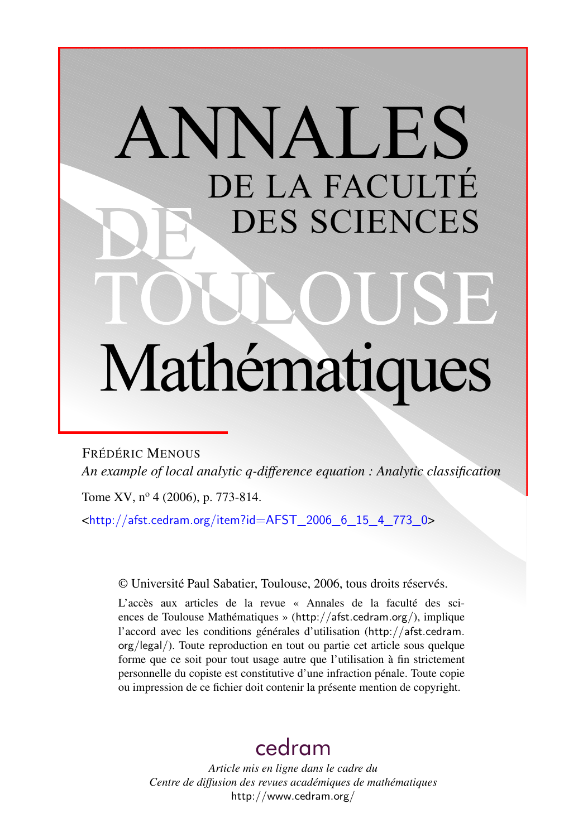# ANNALES DE LA FACULTÉ DES SCIENCES Mathématiques

FRÉDÉRIC MENOUS *An example of local analytic q-difference equation : Analytic classification*

Tome XV, nº 4 (2006), p. 773-814.

 $\frac{\text{th}}{2}$  //afst.cedram.org/item?id=AFST\_2006\_6\_15\_4\_773\_0>

© Université Paul Sabatier, Toulouse, 2006, tous droits réservés.

L'accès aux articles de la revue « Annales de la faculté des sciences de Toulouse Mathématiques » (<http://afst.cedram.org/>), implique l'accord avec les conditions générales d'utilisation ([http://afst.cedram.](http://afst.cedram.org/legal/) [org/legal/](http://afst.cedram.org/legal/)). Toute reproduction en tout ou partie cet article sous quelque forme que ce soit pour tout usage autre que l'utilisation à fin strictement personnelle du copiste est constitutive d'une infraction pénale. Toute copie ou impression de ce fichier doit contenir la présente mention de copyright.

# [cedram](http://www.cedram.org/)

*Article mis en ligne dans le cadre du Centre de diffusion des revues académiques de mathématiques* <http://www.cedram.org/>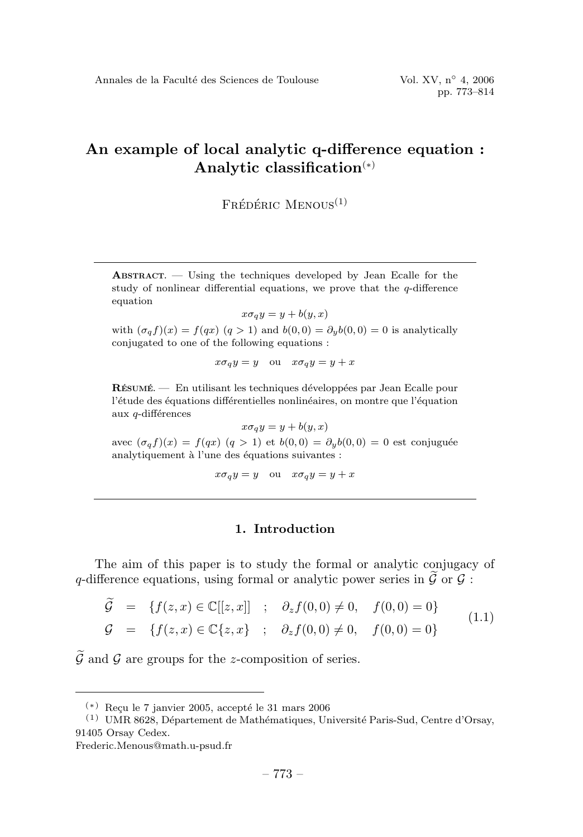$F$ rédéric Menous $<sup>(1)</sup>$ </sup>

**ABSTRACT.** — Using the techniques developed by Jean Ecalle for the study of nonlinear differential equations, we prove that the  $q$ -difference equation

$$
x\sigma_q y = y + b(y, x)
$$

with  $(\sigma_q f)(x) = f(qx)$   $(q > 1)$  and  $b(0, 0) = \partial_y b(0, 0) = 0$  is analytically conjugated to one of the following equations :

 $x\sigma_q y = y$  ou  $x\sigma_q y = y + x$ 

**RÉSUMÉ**  $\frac{1}{\sqrt{2}}$  En utilisant les techniques développées par Jean Ecalle pour l'étude des équations différentielles nonlinéaires, on montre que l'équation aux q-différences

 $x\sigma_q y = y + b(y, x)$ 

avec  $(\sigma_q f)(x) = f(qx) (q > 1)$  et  $b(0, 0) = \partial_y b(0, 0) = 0$  est conjuguée analytiquement à l'une des équations suivantes :

$$
x\sigma_q y = y \quad \text{ou} \quad x\sigma_q y = y + x
$$

#### **1. Introduction**

The aim of this paper is to study the formal or analytic conjugacy of q-difference equations, using formal or analytic power series in  $\mathcal G$  or  $\mathcal G$ :

$$
\widetilde{\mathcal{G}} = \{ f(z, x) \in \mathbb{C}[[z, x]] \; ; \; \partial_z f(0, 0) \neq 0, \; f(0, 0) = 0 \}
$$
\n
$$
\mathcal{G} = \{ f(z, x) \in \mathbb{C} \{z, x\} \; ; \; \partial_z f(0, 0) \neq 0, \; f(0, 0) = 0 \}
$$
\n
$$
(1.1)
$$

G- and G are groups for the *z*-composition of series.

 $(*)$  Reçu le 7 janvier 2005, accepté le 31 mars 2006

 $(1)$  UMR 8628, Département de Mathématiques, Université Paris-Sud, Centre d'Orsay, 91405 Orsay Cedex.

Frederic.Menous@math.u-psud.fr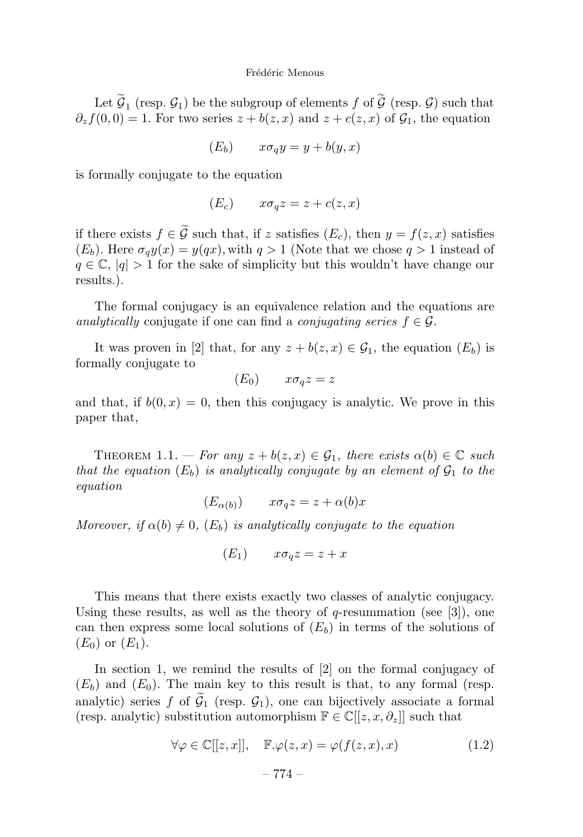Let  $\mathcal{G}_1$  (resp.  $\mathcal{G}_1$ ) be the subgroup of elements  $f$  of  $\mathcal{G}_1$  (resp.  $\mathcal{G}_2$ ) such that  $\partial_z f(0,0) = 1$ . For two series  $z + b(z, x)$  and  $z + c(z, x)$  of  $\mathcal{G}_1$ , the equation

$$
(E_b) \qquad x\sigma_q y = y + b(y, x)
$$

is formally conjugate to the equation

$$
(E_c) \qquad x\sigma_q z = z + c(z, x)
$$

if there exists *f* ∈ G such that, if *z* satisfies  $(E_c)$ , then  $y = f(z, x)$  satisfies  $(E_b)$ . Here  $\sigma_q y(x) = y(qx)$ , with  $q > 1$  (Note that we chose  $q > 1$  instead of  $q \in \mathbb{C}$ ,  $|q| > 1$  for the sake of simplicity but this wouldn't have change our results.).

The formal conjugacy is an equivalence relation and the equations are analytically conjugate if one can find a *conjugating series*  $f \in \mathcal{G}$ .

It was proven in [2] that, for any  $z + b(z, x) \in \mathcal{G}_1$ , the equation  $(E_b)$  is formally conjugate to

$$
(E_0) \qquad x\sigma_q z = z
$$

and that, if  $b(0, x) = 0$ , then this conjugacy is analytic. We prove in this paper that,

THEOREM 1.1. — For any  $z + b(z, x) \in \mathcal{G}_1$ , there exists  $\alpha(b) \in \mathbb{C}$  such that the equation  $(E_b)$  is analytically conjugate by an element of  $\mathcal{G}_1$  to the equation

$$
(E_{\alpha(b)}) \qquad x\sigma_q z = z + \alpha(b)x
$$

Moreover, if  $\alpha(b) \neq 0$ ,  $(E_b)$  is analytically conjugate to the equation

 $(E_1)$   $x\sigma_q z = z + x$ 

This means that there exists exactly two classes of analytic conjugacy. Using these results, as well as the theory of *q*-resummation (see [3]), one can then express some local solutions of  $(E_b)$  in terms of the solutions of  $(E_0)$  or  $(E_1)$ .

In section 1, we remind the results of  $[2]$  on the formal conjugacy of  $(E_b)$  and  $(E_0)$ . The main key to this result is that, to any formal (resp. analytic) series *f* of  $\mathcal{G}_1$  (resp.  $\mathcal{G}_1$ ), one can bijectively associate a formal (resp. analytic) substitution automorphism  $\mathbb{F} \in \mathbb{C}[[z, x, \partial_z]]$  such that

$$
\forall \varphi \in \mathbb{C}[[z, x]], \quad \mathbb{F}.\varphi(z, x) = \varphi(f(z, x), x) \tag{1.2}
$$

$$
-774-
$$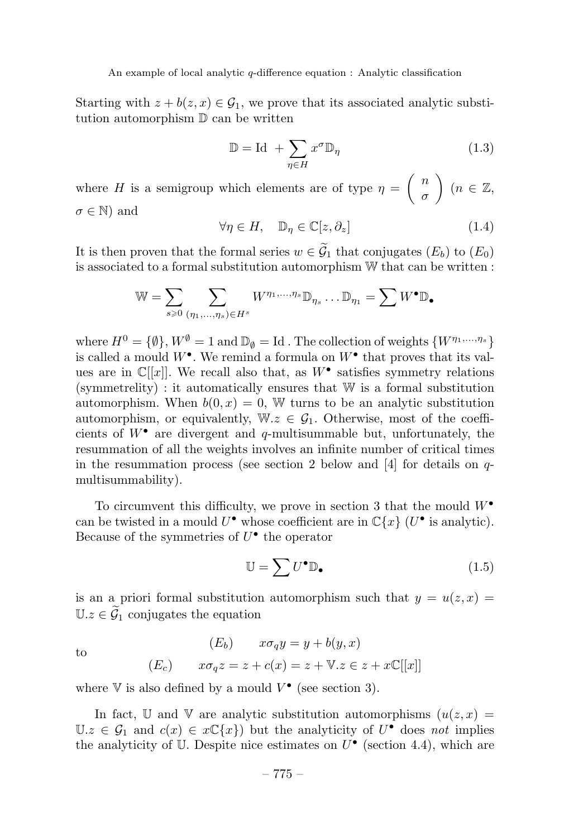Starting with  $z + b(z, x) \in \mathcal{G}_1$ , we prove that its associated analytic substitution automorphism D can be written

$$
\mathbb{D} = \text{Id} \ + \sum_{\eta \in H} x^{\sigma} \mathbb{D}_{\eta} \tag{1.3}
$$

where *H* is a semigroup which elements are of type  $\eta = \begin{pmatrix} n & n \\ n & n \end{pmatrix}$ *σ*  $(n \in \mathbb{Z},$  $\sigma \in \mathbb{N}$  and

$$
\forall \eta \in H, \quad \mathbb{D}_{\eta} \in \mathbb{C}[z, \partial_z] \tag{1.4}
$$

It is then proven that the formal series  $w \in \mathcal{G}_1$  that conjugates  $(E_b)$  to  $(E_0)$ is associated to a formal substitution automorphism W that can be written :

$$
\mathbb{W} = \sum_{s \geqslant 0} \sum_{(\eta_1, \ldots, \eta_s) \in H^s} W^{\eta_1, \ldots, \eta_s} \mathbb{D}_{\eta_s} \ldots \mathbb{D}_{\eta_1} = \sum W^{\bullet} \mathbb{D}_{\bullet}
$$

where  $H^0 = \{\emptyset\}, W^{\emptyset} = 1$  and  $\mathbb{D}_{\emptyset} = \text{Id}$ . The collection of weights  $\{W^{\eta_1,\ldots,\eta_s}\}$ is called a mould  $W^{\bullet}$ . We remind a formula on  $W^{\bullet}$  that proves that its values are in  $\mathbb{C}[[x]]$ . We recall also that, as  $W^{\bullet}$  satisfies symmetry relations (symmetrelity) : it automatically ensures that W is a formal substitution automorphism. When  $b(0, x) = 0$ , W turns to be an analytic substitution automorphism, or equivalently,  $\mathbb{W}.z \in \mathcal{G}_1$ . Otherwise, most of the coefficients of  $W^{\bullet}$  are divergent and *q*-multisummable but, unfortunately, the resummation of all the weights involves an infinite number of critical times in the resummation process (see section 2 below and  $[4]$  for details on  $q$ multisummability).

To circumvent this difficulty, we prove in section 3 that the mould *W*• can be twisted in a mould  $U^{\bullet}$  whose coefficient are in  $\mathbb{C}\{x\}$  ( $U^{\bullet}$  is analytic). Because of the symmetries of *U*• the operator

$$
\mathbb{U} = \sum U^{\bullet} \mathbb{D}_{\bullet} \tag{1.5}
$$

is an a priori formal substitution automorphism such that  $y = u(z, x) =$  $\mathbb{U}.z \in \widetilde{\mathcal{G}}_1$  conjugates the equation

to  
\n
$$
(E_b) \qquad x\sigma_q y = y + b(y, x)
$$
\n
$$
(E_c) \qquad x\sigma_q z = z + c(x) = z + \mathbb{V}.z \in z + x\mathbb{C}[[x]]
$$

where  $V$  is also defined by a mould  $V^{\bullet}$  (see section 3).

In fact, U and V are analytic substitution automorphisms  $(u(z, x))$  $U.z \in \mathcal{G}_1$  and  $c(x) \in x\mathbb{C}\lbrace x \rbrace$  but the analyticity of  $U^{\bullet}$  does not implies the analyticity of  $U$ . Despite nice estimates on  $U^{\bullet}$  (section 4.4), which are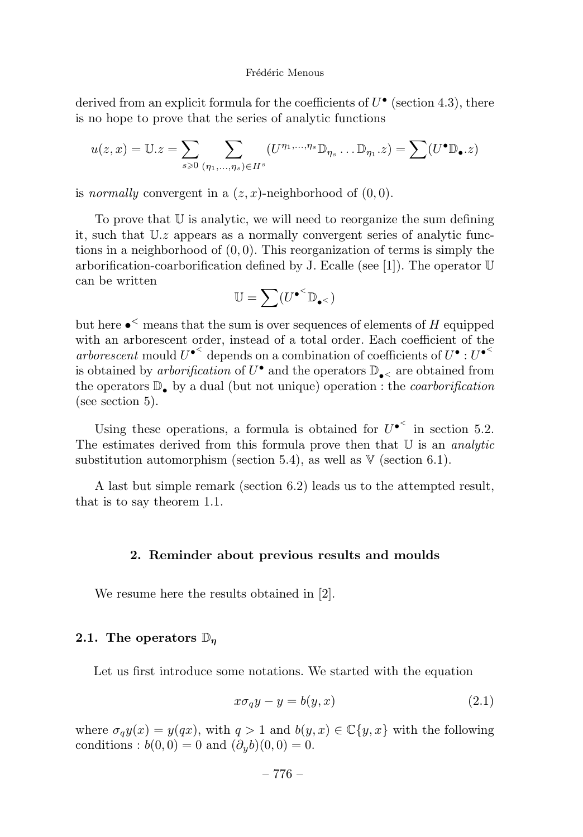derived from an explicit formula for the coefficients of *U*• (section 4.3), there is no hope to prove that the series of analytic functions

$$
u(z,x) = \mathbb{U}.z = \sum_{s \geq 0} \sum_{(\eta_1,\ldots,\eta_s) \in H^s} (U^{\eta_1,\ldots,\eta_s} \mathbb{D}_{\eta_s} \ldots \mathbb{D}_{\eta_1}.z) = \sum (U^{\bullet} \mathbb{D}_{\bullet}.z)
$$

is *normally* convergent in a  $(z, x)$ -neighborhood of  $(0, 0)$ .

To prove that U is analytic, we will need to reorganize the sum defining it, such that U*.z* appears as a normally convergent series of analytic functions in a neighborhood of (0*,* 0). This reorganization of terms is simply the arborification-coarborification defined by J. Ecalle (see [1]). The operator U can be written

$$
\mathbb{U}=\sum (U^{\bullet^<}\mathbb{D}_{\bullet^<})
$$

but here •*<sup>&</sup>lt;* means that the sum is over sequences of elements of *H* equipped with an arborescent order, instead of a total order. Each coefficient of the arborescent mould  $U^{\bullet}$ <sup><</sup> depends on a combination of coefficients of  $U^{\bullet}$  :  $U^{\bullet}$ <sup><</sup> is obtained by *arborification* of  $U^{\bullet}$  and the operators  $\mathbb{D}_{\bullet}$  are obtained from the operators  $\mathbb{D}_{\bullet}$  by a dual (but not unique) operation : the *coarborification* (see section 5).

Using these operations, a formula is obtained for  $U^{\bullet}$ <sup> $\leq$ </sup> in section 5.2. The estimates derived from this formula prove then that  $U$  is an *analytic* substitution automorphism (section 5.4), as well as  $V$  (section 6.1).

A last but simple remark (section 6.2) leads us to the attempted result, that is to say theorem 1.1.

#### **2. Reminder about previous results and moulds**

We resume here the results obtained in [2].

#### **2.1. The operators** D*<sup>η</sup>*

Let us first introduce some notations. We started with the equation

$$
x\sigma_q y - y = b(y, x) \tag{2.1}
$$

where  $\sigma_q y(x) = y(qx)$ , with  $q > 1$  and  $b(y, x) \in \mathbb{C}\{y, x\}$  with the following conditions :  $b(0, 0) = 0$  and  $(\partial_y b)(0, 0) = 0$ .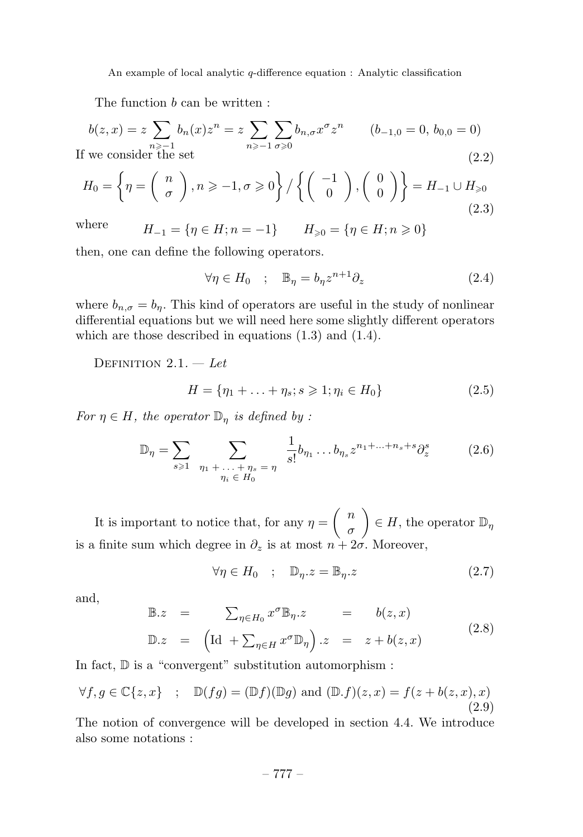The function *b* can be written :

$$
b(z, x) = z \sum_{n \ge -1} b_n(x) z^n = z \sum_{n \ge -1} \sum_{\sigma \ge 0} b_{n, \sigma} x^{\sigma} z^n \qquad (b_{-1,0} = 0, \, b_{0,0} = 0)
$$
  
If we consider the set (2.2)

$$
H_0 = \left\{ \eta = \left( \begin{array}{c} n \\ \sigma \end{array} \right), n \geqslant -1, \sigma \geqslant 0 \right\} / \left\{ \left( \begin{array}{c} -1 \\ 0 \end{array} \right), \left( \begin{array}{c} 0 \\ 0 \end{array} \right) \right\} = H_{-1} \cup H_{\geqslant 0}
$$
\n(2.3)

where  $H_{-1} = \{\eta \in H; n = -1\}$   $H_{\geq 0} = \{\eta \in H; n \geq 0\}$ 

then, one can define the following operators.

$$
\forall \eta \in H_0 \quad ; \quad \mathbb{B}_\eta = b_\eta z^{n+1} \partial_z \tag{2.4}
$$

where  $b_{n,\sigma} = b_n$ . This kind of operators are useful in the study of nonlinear differential equations but we will need here some slightly different operators which are those described in equations (1.3) and (1.4).

DEFINITION  $2.1. - Let$ 

$$
H = \{\eta_1 + \ldots + \eta_s; s \geqslant 1; \eta_i \in H_0\} \tag{2.5}
$$

For  $\eta \in H$ , the operator  $\mathbb{D}_\eta$  is defined by :

$$
\mathbb{D}_{\eta} = \sum_{s \geq 1} \sum_{\substack{\eta_1 + \dots + \eta_s = \eta \\ \eta_i \in H_0}} \frac{1}{s!} b_{\eta_1} \dots b_{\eta_s} z^{n_1 + \dots + n_s + s} \partial_z^s \tag{2.6}
$$

It is important to notice that, for any  $\eta = \begin{pmatrix} n \\ n \end{pmatrix}$ *σ*  $\Big) \in H$ , the operator  $\mathbb{D}_{\eta}$ is a finite sum which degree in  $\partial_z$  is at most  $n + 2\sigma$ . Moreover,

$$
\forall \eta \in H_0 \quad ; \quad \mathbb{D}_\eta . z = \mathbb{B}_\eta . z \tag{2.7}
$$

and,

$$
\mathbb{B} \cdot z = \sum_{\eta \in H_0} x^{\sigma} \mathbb{B}_{\eta} \cdot z = b(z, x)
$$
  

$$
\mathbb{D} \cdot z = \left( \text{Id} + \sum_{\eta \in H} x^{\sigma} \mathbb{D}_{\eta} \right) \cdot z = z + b(z, x)
$$
 (2.8)

In fact, D is a "convergent" substitution automorphism :

$$
\forall f, g \in \mathbb{C}\{z, x\} \quad ; \quad \mathbb{D}(fg) = (\mathbb{D}f)(\mathbb{D}g) \text{ and } (\mathbb{D}.f)(z, x) = f(z + b(z, x), x)
$$
\n(2.9)

The notion of convergence will be developed in section 4.4. We introduce also some notations :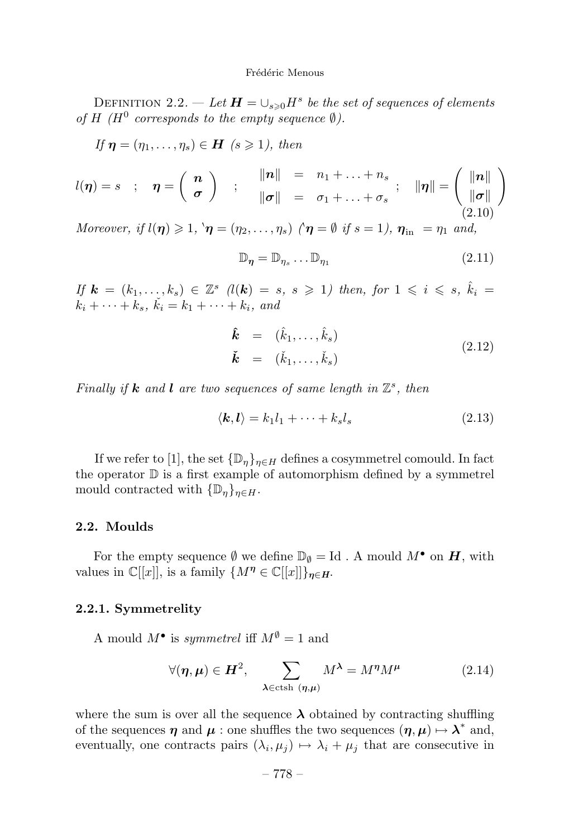DEFINITION 2.2. — Let  $H = \bigcup_{s \geq 0} H^s$  be the set of sequences of elements of *H* ( $H^0$  corresponds to the empty sequence  $\emptyset$ ).

$$
If \mathbf{\eta} = (\eta_1, \dots, \eta_s) \in \mathbf{H} \ (s \geq 1), \ then
$$

$$
l(\boldsymbol{\eta}) = s \quad ; \quad \boldsymbol{\eta} = \left( \begin{array}{c} \boldsymbol{n} \\ \boldsymbol{\sigma} \end{array} \right) \quad ; \quad \begin{array}{c} \|\boldsymbol{n}\| = n_1 + \ldots + n_s \\ \|\boldsymbol{\sigma}\| = \sigma_1 + \ldots + \sigma_s \end{array} ; \quad \|\boldsymbol{\eta}\| = \left( \begin{array}{c} \|\boldsymbol{n}\| \\ \|\boldsymbol{\sigma}\| \\ (2.10) \end{array} \right)
$$

Moreover, if  $l(\eta) \geq 1$ ,  $\eta = (\eta_2, \ldots, \eta_s)$   $(\eta = \emptyset \text{ if } s = 1)$ ,  $\eta_{\text{in}} = \eta_1$  and,

$$
\mathbb{D}_{\eta} = \mathbb{D}_{\eta_s} \dots \mathbb{D}_{\eta_1} \tag{2.11}
$$

*If*  $k = (k_1, ..., k_s) ∈ \mathbb{Z}^s$  (*l*(*k*) = *s*, *s*  $\geq 1$ ) then, for 1 ≤ *i* ≤ *s*,  $\hat{k}_i$  =  $k_i + \cdots + k_s$ ,  $\tilde{k}_i = k_1 + \cdots + k_i$ , and

$$
\hat{k} = (\hat{k}_1, \dots, \hat{k}_s) \n\check{k} = (\check{k}_1, \dots, \check{k}_s)
$$
\n(2.12)

Finally if **k** and **l** are two sequences of same length in  $\mathbb{Z}^s$ , then

$$
\langle \mathbf{k}, \mathbf{l} \rangle = k_1 l_1 + \dots + k_s l_s \tag{2.13}
$$

If we refer to [1], the set  $\{\mathbb{D}_n\}_{n\in H}$  defines a cosymmetrel comould. In fact the operator  $\mathbb D$  is a first example of automorphism defined by a symmetrel mould contracted with  $\{\mathbb{D}_n\}_{n\in H}$ .

#### **2.2. Moulds**

For the empty sequence  $\emptyset$  we define  $\mathbb{D}_{\emptyset} = \mathrm{Id}$ . A mould  $M^{\bullet}$  on  $H$ , with values in  $\mathbb{C}[[x]]$ , is a family  $\{M^{\eta} \in \mathbb{C}[[x]]\}_{\eta \in H}$ .

#### **2.2.1. Symmetrelity**

A mould  $M^{\bullet}$  is *symmetrel* iff  $M^{\emptyset} = 1$  and

$$
\forall (\eta, \mu) \in H^2, \qquad \sum_{\lambda \in \text{ctsh}(\eta, \mu)} M^{\lambda} = M^{\eta} M^{\mu} \tag{2.14}
$$

where the sum is over all the sequence  $\lambda$  obtained by contracting shuffling of the sequences  $\eta$  and  $\mu$  : one shuffles the two sequences  $(\eta, \mu) \mapsto \lambda^*$  and, eventually, one contracts pairs  $(\lambda_i, \mu_j) \mapsto \lambda_i + \mu_j$  that are consecutive in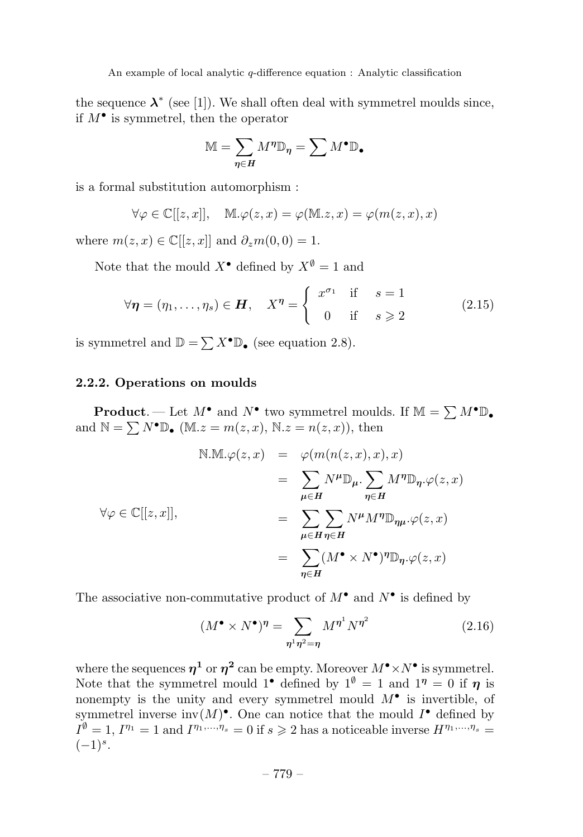the sequence  $\lambda^*$  (see [1]). We shall often deal with symmetrel moulds since, if *M*• is symmetrel, then the operator

$$
\mathbb{M} = \sum_{\eta \in H} M^{\eta} \mathbb{D}_{\eta} = \sum M^{\bullet} \mathbb{D}_{\bullet}
$$

is a formal substitution automorphism :

$$
\forall \varphi \in \mathbb{C}[[z,x]], \quad \mathbb{M}.\varphi(z,x) = \varphi(\mathbb{M}.z,x) = \varphi(m(z,x),x)
$$

where  $m(z, x) \in \mathbb{C}[[z, x]]$  and  $\partial_z m(0, 0) = 1$ .

Note that the mould  $X^{\bullet}$  defined by  $X^{\emptyset} = 1$  and

$$
\forall \eta = (\eta_1, \dots, \eta_s) \in H, \quad X^{\eta} = \begin{cases} x^{\sigma_1} & \text{if } s = 1 \\ 0 & \text{if } s \ge 2 \end{cases}
$$
 (2.15)

is symmetrel and  $\mathbb{D} = \sum X^{\bullet} \mathbb{D}_{\bullet}$  (see equation 2.8).

#### **2.2.2. Operations on moulds**

**Product**. — Let  $M^{\bullet}$  and  $N^{\bullet}$  two symmetrel moulds. If  $M = \sum M^{\bullet} \mathbb{D}_{\bullet}$ and  $\mathbb{N} = \sum N^{\bullet} \mathbb{D}_{\bullet}$  (M<sub>i</sub>. $z = m(z, x)$ , N<sub>i</sub>. $z = n(z, x)$ ), then

$$
\begin{array}{rcl} \mathbb{N}.\mathbb{M}.\varphi(z,x)&=&\varphi(m(n(z,x),x),x)\\ &=&\sum_{\mu\in H}N^{\mu}\mathbb{D}_{\mu}.\sum_{\eta\in H}M^{\eta}\mathbb{D}_{\eta}.\varphi(z,x)\\ &=&\sum_{\mu\in H}\sum_{\eta\in H}N^{\mu}M^{\eta}\mathbb{D}_{\eta\mu}.\varphi(z,x)\\ &=&\sum_{\eta\in H} (M^{\bullet}\times N^{\bullet})^{\eta}\mathbb{D}_{\eta}.\varphi(z,x) \end{array}
$$

The associative non-commutative product of  $M^{\bullet}$  and  $N^{\bullet}$  is defined by

$$
(M^{\bullet} \times N^{\bullet})^{\eta} = \sum_{\eta^1 \eta^2 = \eta} M^{\eta^1} N^{\eta^2}
$$
 (2.16)

where the sequences  $\eta^1$  or  $\eta^2$  can be empty. Moreover  $M^{\bullet} \times N^{\bullet}$  is symmetrel. Note that the symmetrel mould 1<sup>•</sup> defined by  $1^{\emptyset} = 1$  and  $1^{\eta} = 0$  if  $\eta$  is nonempty is the unity and every symmetrel mould  $M^{\bullet}$  is invertible, of symmetrel inverse inv $(M)$ <sup>•</sup>. One can notice that the mould  $I^{\bullet}$  defined by  $I^{\emptyset} = 1$ ,  $I^{\eta_1} = 1$  and  $I^{\eta_1,...,\eta_s} = 0$  if  $s \geq 2$  has a noticeable inverse  $H^{\eta_1,...,\eta_s} =$  $(-1)^s$ .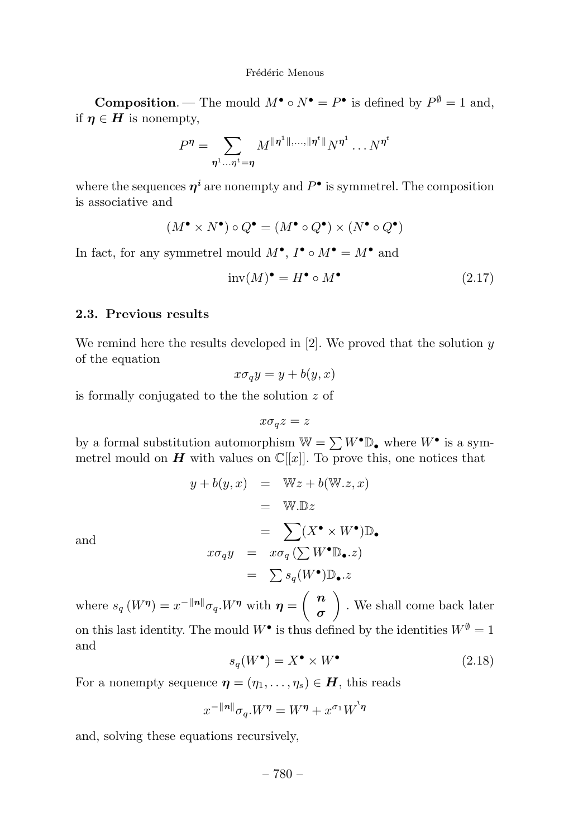**Composition**. — The mould  $M^{\bullet} \circ N^{\bullet} = P^{\bullet}$  is defined by  $P^{\emptyset} = 1$  and, if  $\eta \in H$  is nonempty,

$$
P^{\eta} = \sum_{\eta^1 \dots \eta^t = \eta} M^{\|\eta^1\|,\dots,\|\eta^t\|} N^{\eta^1} \dots N^{\eta^t}
$$

where the sequences  $\eta^i$  are nonempty and  $P^{\bullet}$  is symmetrel. The composition is associative and

$$
(M^{\bullet} \times N^{\bullet}) \circ Q^{\bullet} = (M^{\bullet} \circ Q^{\bullet}) \times (N^{\bullet} \circ Q^{\bullet})
$$

In fact, for any symmetrel mould  $M^{\bullet}$ ,  $I^{\bullet} \circ M^{\bullet} = M^{\bullet}$  and

$$
inv(M)^{\bullet} = H^{\bullet} \circ M^{\bullet} \tag{2.17}
$$

#### **2.3. Previous results**

We remind here the results developed in [2]. We proved that the solution *y* of the equation

$$
x\sigma_q y = y + b(y, x)
$$

is formally conjugated to the the solution *z* of

$$
x\sigma_q z = z
$$

by a formal substitution automorphism  $W = \sum W^{\bullet} \mathbb{D}_{\bullet}$  where  $W^{\bullet}$  is a symmetrel mould on  $H$  with values on  $\mathbb{C}[[x]]$ . To prove this, one notices that

$$
y + b(y, x) = \mathbb{W}z + b(\mathbb{W}.z, x)
$$
  
\n
$$
= \mathbb{W}.\mathbb{D}z
$$
  
\nand  
\n
$$
x\sigma_q y = x\sigma_q(\sum W^{\bullet} \mathbb{D}_{\bullet}.z)
$$
  
\n
$$
= \sum s_q(W^{\bullet}) \mathbb{D}_{\bullet}.z
$$

where  $s_q(W^{\eta}) = x^{-||n||} \sigma_q W^{\eta}$  with  $\eta = \begin{pmatrix} n \\ n \end{pmatrix}$ *σ* . We shall come back later on this last identity. The mould  $W^{\bullet}$  is thus defined by the identities  $W^{\emptyset} = 1$ and

$$
s_q(W^{\bullet}) = X^{\bullet} \times W^{\bullet} \tag{2.18}
$$

For a nonempty sequence  $\boldsymbol{\eta} = (\eta_1, \dots, \eta_s) \in \boldsymbol{H}$ , this reads

$$
x^{-\|n\|}\sigma_q.W^\eta = W^\eta + x^{\sigma_1}W^{\prime\eta}
$$

and, solving these equations recursively,

– 780 –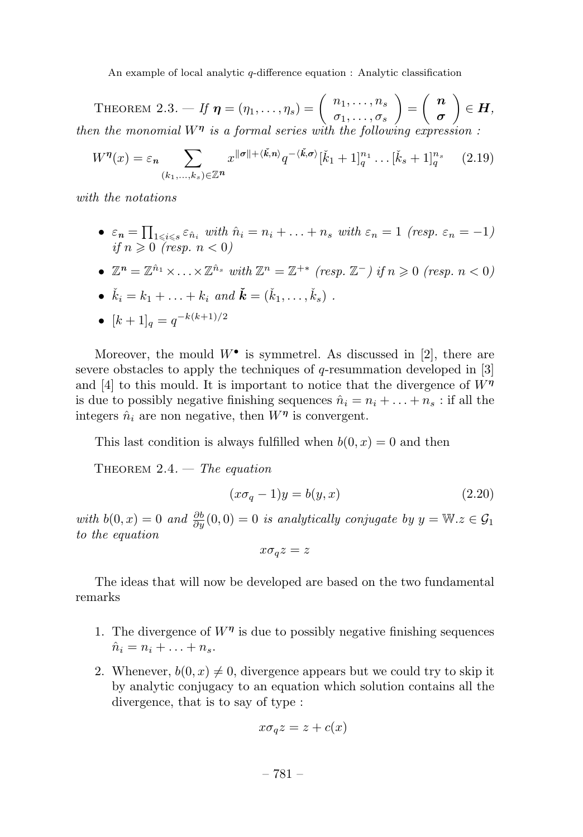THEOREM 2.3. — If  $\boldsymbol{\eta} = (\eta_1, \ldots, \eta_s) = \begin{pmatrix} n_1, \ldots, n_s \\ \sigma_1, \ldots, \sigma_s \end{pmatrix}$  $=\left(\begin{array}{c} n\\ n \end{array}\right]$ *σ*  $\Big) \in H,$ then the monomial *W<sup>η</sup>* is a formal series with the following expression :

$$
W^{\eta}(x) = \varepsilon_n \sum_{(k_1,...,k_s) \in \mathbb{Z}^n} x^{\|\sigma\| + \langle \check{k}, n \rangle} q^{-\langle \check{k}, \sigma \rangle} [\check{k}_1 + 1]_q^{n_1} \dots [\check{k}_s + 1]_q^{n_s} \qquad (2.19)
$$

with the notations

•  $\varepsilon_n = \prod_{1 \leq i \leq s} \varepsilon_{\hat{n}_i}$  with  $\hat{n}_i = n_i + \ldots + n_s$  with  $\varepsilon_n = 1$  (resp.  $\varepsilon_n = -1$ ) if  $n \geqslant 0$  (resp.  $n < 0$ )

• 
$$
\mathbb{Z}^n = \mathbb{Z}^{\hat{n}_1} \times \ldots \times \mathbb{Z}^{\hat{n}_s}
$$
 with  $\mathbb{Z}^n = \mathbb{Z}^{+*}$  (resp.  $\mathbb{Z}^-$ ) if  $n \geq 0$  (resp.  $n < 0$ )

• 
$$
\check{k}_i = k_1 + \ldots + k_i
$$
 and  $\check{k} = (\check{k}_1, \ldots, \check{k}_s)$ .

• 
$$
[k+1]_q = q^{-k(k+1)/2}
$$

Moreover, the mould  $W^{\bullet}$  is symmetrel. As discussed in [2], there are severe obstacles to apply the techniques of *q*-resummation developed in [3] and [4] to this mould. It is important to notice that the divergence of  $W^{\eta}$ is due to possibly negative finishing sequences  $\hat{n}_i = n_i + \ldots + n_s$ : if all the integers  $\hat{n}_i$  are non negative, then  $W^{\eta}$  is convergent.

This last condition is always fulfilled when  $b(0, x) = 0$  and then

THEOREM  $2.4.$  – The equation

$$
(x\sigma_q - 1)y = b(y, x) \tag{2.20}
$$

with  $b(0, x) = 0$  and  $\frac{\partial b}{\partial y}(0, 0) = 0$  is analytically conjugate by  $y = \mathbb{W}.z \in \mathcal{G}_1$ to the equation

 $x\sigma_q z = z$ 

The ideas that will now be developed are based on the two fundamental remarks

- 1. The divergence of  $W^{\eta}$  is due to possibly negative finishing sequences  $\hat{n}_i = n_i + ... + n_s$ .
- 2. Whenever,  $b(0, x) \neq 0$ , divergence appears but we could try to skip it by analytic conjugacy to an equation which solution contains all the divergence, that is to say of type :

$$
x\sigma_q z = z + c(x)
$$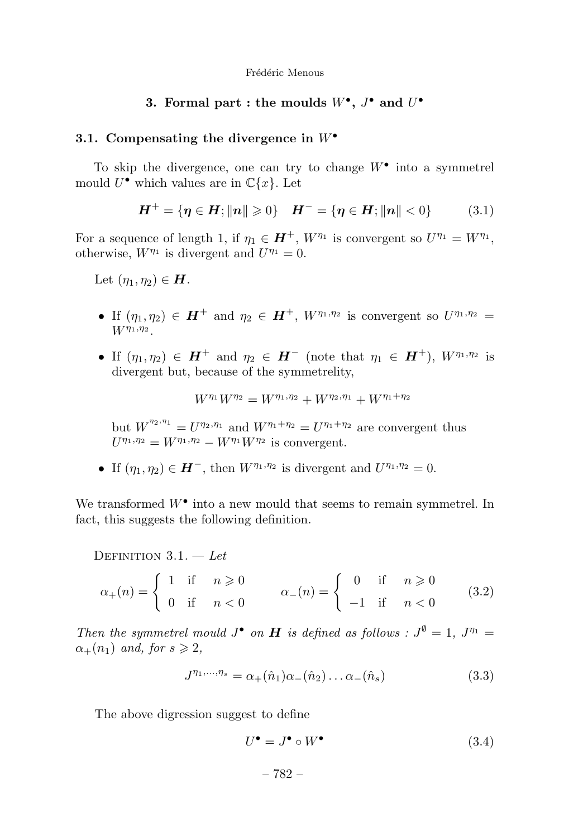#### **3.** Formal part : the moulds  $W^{\bullet}$ ,  $J^{\bullet}$  and  $U^{\bullet}$

#### **3.1. Compensating the divergence in** *W*•

To skip the divergence, one can try to change *W*• into a symmetrel mould  $U^{\bullet}$  which values are in  $\mathbb{C}\{x\}$ . Let

$$
H^{+} = \{ \eta \in H; ||n|| \geq 0 \} \quad H^{-} = \{ \eta \in H; ||n|| < 0 \} \tag{3.1}
$$

For a sequence of length 1, if  $\eta_1 \in H^+$ ,  $W^{\eta_1}$  is convergent so  $U^{\eta_1} = W^{\eta_1}$ , otherwise,  $W^{\eta_1}$  is divergent and  $U^{\eta_1} = 0$ .

Let  $(\eta_1, \eta_2) \in H$ .

- If  $(\eta_1, \eta_2) \in H^+$  and  $\eta_2 \in H^+$ ,  $W^{\eta_1, \eta_2}$  is convergent so  $U^{\eta_1, \eta_2} =$ *Wη*1*,η*<sup>2</sup> .
- If  $(\eta_1, \eta_2) \in H^+$  and  $\eta_2 \in H^-$  (note that  $\eta_1 \in H^+$ ),  $W^{\eta_1, \eta_2}$  is divergent but, because of the symmetrelity,

$$
W^{\eta_1}W^{\eta_2} = W^{\eta_1,\eta_2} + W^{\eta_2,\eta_1} + W^{\eta_1+\eta_2}
$$

but  $W^{\eta_2, \eta_1} = U^{\eta_2, \eta_1}$  and  $W^{\eta_1 + \eta_2} = U^{\eta_1 + \eta_2}$  are convergent thus  $U^{\eta_1, \eta_2} = W^{\eta_1, \eta_2} - W^{\eta_1} W^{\eta_2}$  is convergent.

• If  $(\eta_1, \eta_2) \in H^-$ , then  $W^{\eta_1, \eta_2}$  is divergent and  $U^{\eta_1, \eta_2} = 0$ .

We transformed *W*• into a new mould that seems to remain symmetrel. In fact, this suggests the following definition.

DEFINITION  $3.1. - Let$ 

$$
\alpha_{+}(n) = \begin{cases} 1 & \text{if } n \geq 0 \\ 0 & \text{if } n < 0 \end{cases} \qquad \alpha_{-}(n) = \begin{cases} 0 & \text{if } n \geq 0 \\ -1 & \text{if } n < 0 \end{cases} \tag{3.2}
$$

Then the symmetrel mould  $J^{\bullet}$  on **H** is defined as follows :  $J^{\emptyset} = 1$ ,  $J^{\eta_1} =$  $\alpha_{+}(n_1)$  and, for  $s \geq 2$ ,

$$
J^{\eta_1,...,\eta_s} = \alpha_+(\hat{n}_1)\alpha_-(\hat{n}_2)\dots\alpha_-(\hat{n}_s)
$$
 (3.3)

The above digression suggest to define

$$
U^{\bullet} = J^{\bullet} \circ W^{\bullet} \tag{3.4}
$$

– 782 –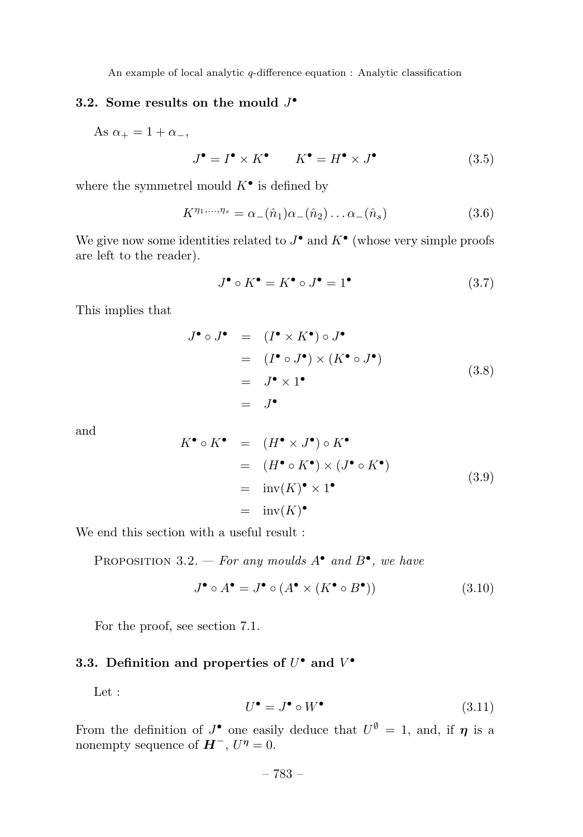# **3.2. Some results on the mould** *J*•

As  $\alpha_{+} = 1 + \alpha_{-}$ ,

$$
J^{\bullet} = I^{\bullet} \times K^{\bullet} \qquad K^{\bullet} = H^{\bullet} \times J^{\bullet} \tag{3.5}
$$

where the symmetrel mould  $K^{\bullet}$  is defined by

$$
K^{\eta_1,\dots,\eta_s} = \alpha_-(\hat{n}_1)\alpha_-(\hat{n}_2)\dots\alpha_-(\hat{n}_s)
$$
\n(3.6)

We give now some identities related to  $J^{\bullet}$  and  $K^{\bullet}$  (whose very simple proofs are left to the reader).

$$
J^{\bullet} \circ K^{\bullet} = K^{\bullet} \circ J^{\bullet} = 1^{\bullet} \tag{3.7}
$$

This implies that

$$
J^{\bullet} \circ J^{\bullet} = (I^{\bullet} \times K^{\bullet}) \circ J^{\bullet}
$$
  
=  $(I^{\bullet} \circ J^{\bullet}) \times (K^{\bullet} \circ J^{\bullet})$   
=  $J^{\bullet} \times 1^{\bullet}$   
=  $J^{\bullet}$  (3.8)

and

$$
K^{\bullet} \circ K^{\bullet} = (H^{\bullet} \times J^{\bullet}) \circ K^{\bullet}
$$
  
=  $(H^{\bullet} \circ K^{\bullet}) \times (J^{\bullet} \circ K^{\bullet})$   
=  $inv(K)^{\bullet} \times 1^{\bullet}$   
=  $inv(K)^{\bullet}$  (3.9)

We end this section with a useful result :

PROPOSITION 3.2. — For any moulds  $A^{\bullet}$  and  $B^{\bullet}$ , we have

$$
J^{\bullet} \circ A^{\bullet} = J^{\bullet} \circ (A^{\bullet} \times (K^{\bullet} \circ B^{\bullet})) \tag{3.10}
$$

For the proof, see section 7.1.

# **3.3.** Definition and properties of  $U^{\bullet}$  and  $V^{\bullet}$

Let :

$$
U^{\bullet} = J^{\bullet} \circ W^{\bullet} \tag{3.11}
$$

From the definition of  $J^{\bullet}$  one easily deduce that  $U^{\emptyset} = 1$ , and, if  $\eta$  is a nonempty sequence of  $H^-$ ,  $U^{\eta} = 0$ .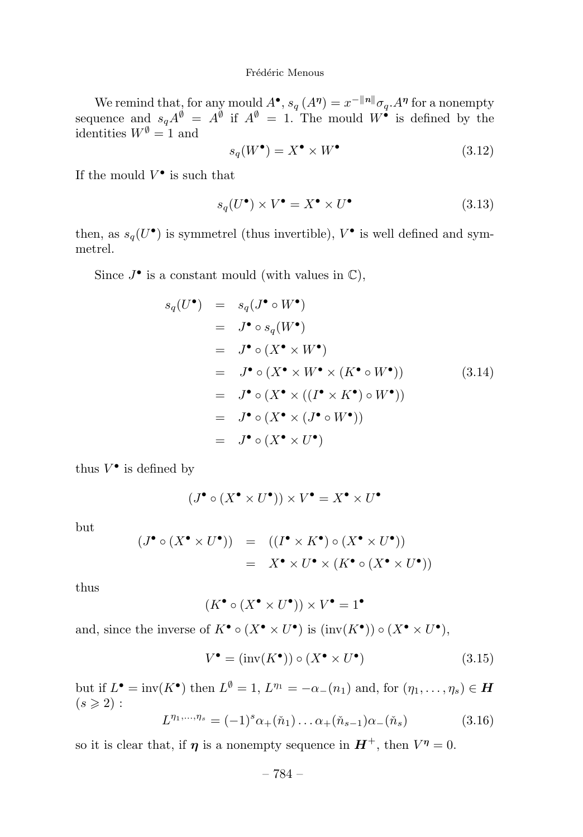We remind that, for any mould  $A^{\bullet}$ ,  $s_q(A^{\eta}) = x^{-\|\eta\|} \sigma_q A^{\eta}$  for a nonempty sequence and  $s_q A^{\emptyset} = A^{\emptyset}$  if  $A^{\emptyset} = 1$ . The mould  $W^{\bullet}$  is defined by the identities  $W^{\emptyset} = 1$  and

$$
s_q(W^{\bullet}) = X^{\bullet} \times W^{\bullet} \tag{3.12}
$$

If the mould  $V^{\bullet}$  is such that

$$
s_q(U^{\bullet}) \times V^{\bullet} = X^{\bullet} \times U^{\bullet}
$$
 (3.13)

then, as  $s_q(U^{\bullet})$  is symmetrel (thus invertible),  $V^{\bullet}$  is well defined and symmetrel.

Since  $J^{\bullet}$  is a constant mould (with values in  $\mathbb{C}$ ),

$$
s_q(U^{\bullet}) = s_q(J^{\bullet} \circ W^{\bullet})
$$
  
\n
$$
= J^{\bullet} \circ s_q(W^{\bullet})
$$
  
\n
$$
= J^{\bullet} \circ (X^{\bullet} \times W^{\bullet})
$$
  
\n
$$
= J^{\bullet} \circ (X^{\bullet} \times W^{\bullet} \times (K^{\bullet} \circ W^{\bullet}))
$$
  
\n
$$
= J^{\bullet} \circ (X^{\bullet} \times ((I^{\bullet} \times K^{\bullet}) \circ W^{\bullet}))
$$
  
\n
$$
= J^{\bullet} \circ (X^{\bullet} \times (J^{\bullet} \circ W^{\bullet}))
$$
  
\n
$$
= J^{\bullet} \circ (X^{\bullet} \times U^{\bullet})
$$
  
\n
$$
= J^{\bullet} \circ (X^{\bullet} \times U^{\bullet})
$$

thus  $V^{\bullet}$  is defined by

$$
(J^\bullet \circ (X^\bullet \times U^\bullet)) \times V^\bullet = X^\bullet \times U^\bullet
$$

but

$$
(J^{\bullet} \circ (X^{\bullet} \times U^{\bullet})) = ((I^{\bullet} \times K^{\bullet}) \circ (X^{\bullet} \times U^{\bullet}))
$$
  
=  $X^{\bullet} \times U^{\bullet} \times (K^{\bullet} \circ (X^{\bullet} \times U^{\bullet}))$ 

thus

$$
(K^\bullet\circ (X^\bullet\times U^\bullet))\times V^\bullet=1^\bullet
$$

and, since the inverse of  $K^{\bullet} \circ (X^{\bullet} \times U^{\bullet})$  is  $(\text{inv}(K^{\bullet})) \circ (X^{\bullet} \times U^{\bullet})$ ,

$$
V^{\bullet} = (\text{inv}(K^{\bullet})) \circ (X^{\bullet} \times U^{\bullet}) \tag{3.15}
$$

but if  $L^{\bullet} = inv(K^{\bullet})$  then  $L^{\emptyset} = 1$ ,  $L^{\eta_1} = -\alpha_-(n_1)$  and, for  $(\eta_1, \ldots, \eta_s) \in H$  $(s \geqslant 2)$ :

$$
L^{\eta_1,\dots,\eta_s} = (-1)^s \alpha_+(\check{n}_1)\dots\alpha_+(\check{n}_{s-1})\alpha_-(\check{n}_s)
$$
 (3.16)

so it is clear that, if *η* is a nonempty sequence in  $H^+$ , then  $V^{\eta} = 0$ .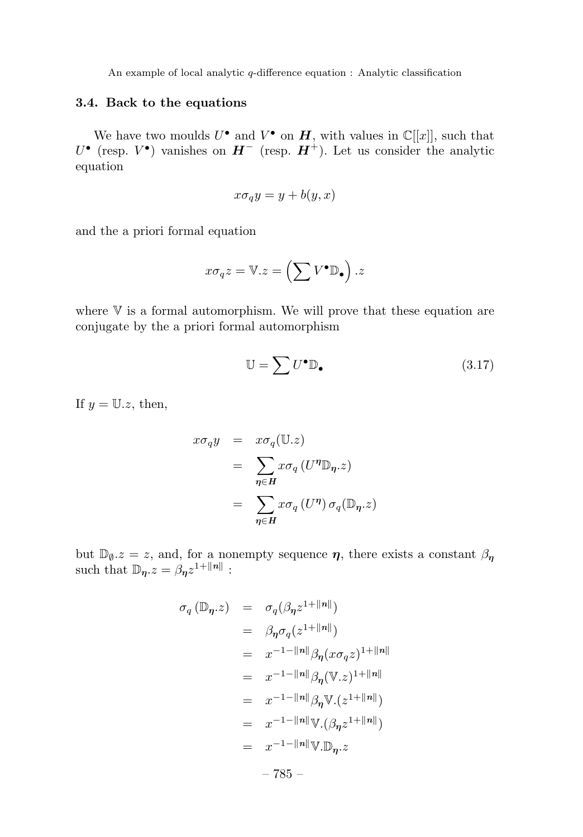#### **3.4. Back to the equations**

We have two moulds  $U^{\bullet}$  and  $V^{\bullet}$  on  $H$ , with values in  $\mathbb{C}[[x]]$ , such that *U*• (resp. *V*•) vanishes on *H*<sup>−</sup> (resp. *H*<sup>+</sup>). Let us consider the analytic equation

$$
x\sigma_q y = y + b(y, x)
$$

and the a priori formal equation

$$
x\sigma_q z = \mathbb{V}.z = \left(\sum V^{\bullet} \mathbb{D}_{\bullet}\right).z
$$

where  $\nabla$  is a formal automorphism. We will prove that these equation are conjugate by the a priori formal automorphism

$$
\mathbb{U} = \sum U^{\bullet} \mathbb{D}_{\bullet} \tag{3.17}
$$

If  $y = U.z$ , then,

$$
x\sigma_q y = x\sigma_q(\mathbb{U}.z)
$$
  
= 
$$
\sum_{\eta \in H} x\sigma_q(U^{\eta} \mathbb{D}_{\eta}.z)
$$
  
= 
$$
\sum_{\eta \in H} x\sigma_q(U^{\eta}) \sigma_q(\mathbb{D}_{\eta}.z)
$$

but  $\mathbb{D}_{\theta}$ *, z* = *z*, and, for a nonempty sequence  $\eta$ , there exists a constant  $\beta_{\eta}$ such that  $\mathbb{D}_n z = \beta_n z^{1 + ||n||}$ :

$$
\sigma_q(\mathbb{D}_{\eta}.z) = \sigma_q(\beta_{\eta}z^{1+||n||})
$$
  
\n
$$
= \beta_{\eta}\sigma_q(z^{1+||n||})
$$
  
\n
$$
= x^{-1-||n||}\beta_{\eta}(x\sigma_qz)^{1+||n||}
$$
  
\n
$$
= x^{-1-||n||}\beta_{\eta}(\mathbb{V}.z)^{1+||n||}
$$
  
\n
$$
= x^{-1-||n||}\beta_{\eta}\mathbb{V}.(z^{1+||n||})
$$
  
\n
$$
= x^{-1-||n||}\mathbb{V}.(\beta_{\eta}z^{1+||n||})
$$
  
\n
$$
= x^{-1-||n||}\mathbb{V}. \mathbb{D}_{\eta}.z
$$
  
\n
$$
-785 -
$$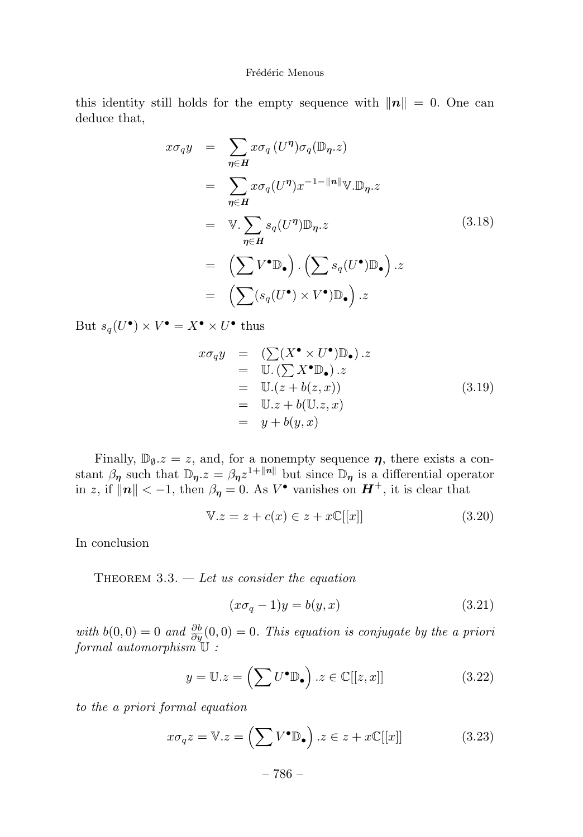this identity still holds for the empty sequence with  $||n|| = 0$ . One can deduce that,

$$
x\sigma_q y = \sum_{\eta \in H} x\sigma_q (U^{\eta})\sigma_q (\mathbb{D}_{\eta}.z)
$$
  
\n
$$
= \sum_{\eta \in H} x\sigma_q (U^{\eta}) x^{-1 - ||n||} \mathbb{V}.\mathbb{D}_{\eta}.z
$$
  
\n
$$
= \mathbb{V}.\sum_{\eta \in H} s_q (U^{\eta}) \mathbb{D}_{\eta}.z
$$
  
\n
$$
= (\sum V^{\bullet} \mathbb{D}_{\bullet}) . (\sum s_q (U^{\bullet}) \mathbb{D}_{\bullet}) .z
$$
  
\n
$$
= (\sum (s_q (U^{\bullet}) \times V^{\bullet}) \mathbb{D}_{\bullet}).z
$$
  
\n(3.18)

But  $s_q(U^{\bullet}) \times V^{\bullet} = X^{\bullet} \times U^{\bullet}$  thus

$$
x\sigma_q y = (\sum (X^{\bullet} \times U^{\bullet}) \mathbb{D}_{\bullet}).z
$$
  
\n
$$
= \mathbb{U}.(\sum X^{\bullet} \mathbb{D}_{\bullet}).z
$$
  
\n
$$
= \mathbb{U}.(z + b(z, x))
$$
  
\n
$$
= \mathbb{U}.z + b(\mathbb{U}.z, x)
$$
  
\n
$$
= y + b(y, x)
$$
\n(3.19)

Finally,  $\mathbb{D}_{\theta}z = z$ , and, for a nonempty sequence  $\eta$ , there exists a constant  $\beta_{\eta}$  such that  $\mathbb{D}_{\eta}z = \beta_{\eta}z^{1+\Vert n\Vert}$  but since  $\mathbb{D}_{\eta}$  is a differential operator in *z*, if  $||n|| < -1$ , then  $\beta_{\eta} = 0$ . As  $V^{\bullet}$  vanishes on  $H^{+}$ , it is clear that

$$
\mathbb{V}.z = z + c(x) \in z + x\mathbb{C}[[x]]\tag{3.20}
$$

In conclusion

THEOREM  $3.3.$  — Let us consider the equation

$$
(x\sigma_q - 1)y = b(y, x) \tag{3.21}
$$

with  $b(0,0) = 0$  and  $\frac{\partial b}{\partial y}(0,0) = 0$ . This equation is conjugate by the a priori formal automorphism  $\mathbb U$  :

$$
y = \mathbb{U}.z = \left(\sum U^{\bullet} \mathbb{D}_{\bullet}\right).z \in \mathbb{C}[[z,x]] \tag{3.22}
$$

to the a priori formal equation

$$
x\sigma_q z = \mathbb{V}.z = \left(\sum V^{\bullet} \mathbb{D}_{\bullet}\right).z \in z + x\mathbb{C}[[x]] \tag{3.23}
$$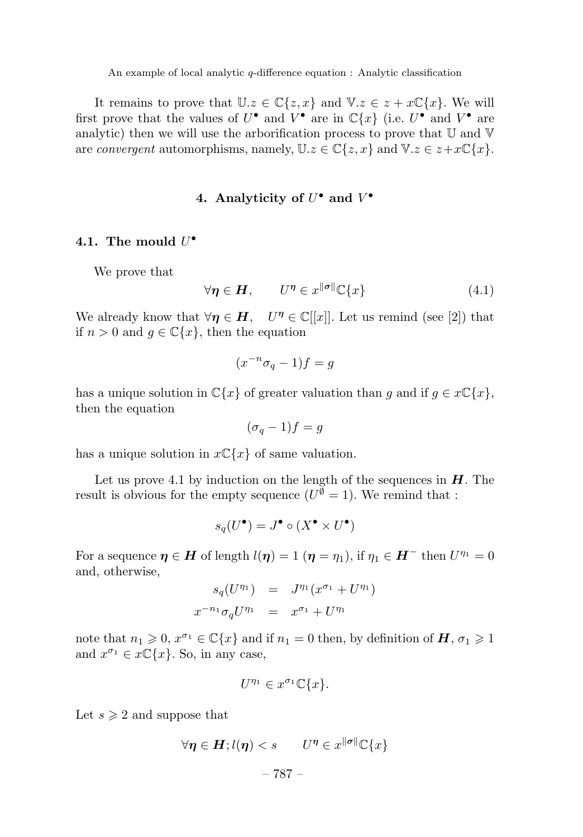It remains to prove that  $\mathbb{U}.z \in \mathbb{C}\{z,x\}$  and  $\mathbb{V}.z \in z + x\mathbb{C}\{x\}$ . We will first prove that the values of  $U^{\bullet}$  and  $V^{\bullet}$  are in  $\mathbb{C}\{x\}$  (i.e.  $U^{\bullet}$  and  $V^{\bullet}$  are analytic) then we will use the arborification process to prove that  $\mathbb U$  and  $\mathbb V$ are *convergent* automorphisms, namely,  $\mathbb{U}.z \in \mathbb{C}\{z,x\}$  and  $\mathbb{V}.z \in z + x\mathbb{C}\{x\}$ .

#### **4. Analyticity of** *U*• **and** *V* •

#### **4.1. The mould** *U*•

We prove that

$$
\forall \eta \in H, \qquad U^{\eta} \in x^{\|\sigma\|} \mathbb{C}\{x\} \tag{4.1}
$$

We already know that  $\forall \eta \in H$ ,  $U^{\eta} \in \mathbb{C}[[x]]$ . Let us remind (see [2]) that if  $n > 0$  and  $g \in \mathbb{C}\lbrace x \rbrace$ , then the equation

$$
(x^{-n}\sigma_q - 1)f = g
$$

has a unique solution in  $\mathbb{C}\{x\}$  of greater valuation than *g* and if  $g \in x\mathbb{C}\{x\}$ , then the equation

$$
(\sigma_q - 1)f = g
$$

has a unique solution in  $x \mathbb{C}\lbrace x \rbrace$  of same valuation.

Let us prove 4.1 by induction on the length of the sequences in  $H$ . The result is obvious for the empty sequence  $(U^{\check{\emptyset}} = 1)$ . We remind that :

$$
s_q(U^{\bullet}) = J^{\bullet} \circ (X^{\bullet} \times U^{\bullet})
$$

For a sequence  $\eta \in H$  of length  $l(\eta) = 1$  ( $\eta = \eta_1$ ), if  $\eta_1 \in H^-$  then  $U^{\eta_1} = 0$ and, otherwise,

$$
s_q(U^{n_1}) = J^{n_1}(x^{\sigma_1} + U^{n_1})
$$
  

$$
x^{-n_1} \sigma_q U^{n_1} = x^{\sigma_1} + U^{n_1}
$$

note that  $n_1 \geq 0$ ,  $x^{\sigma_1} \in \mathbb{C}\lbrace x \rbrace$  and if  $n_1 = 0$  then, by definition of  $H$ ,  $\sigma_1 \geq 1$ and  $x^{\sigma_1} \in x\mathbb{C}\{x\}$ . So, in any case,

$$
U^{\eta_1} \in x^{\sigma_1} \mathbb{C}\{x\}.
$$

Let  $s \geqslant 2$  and suppose that

$$
\forall \eta \in H; l(\eta) < s \qquad U^{\eta} \in x^{\|\sigma\|} \mathbb{C}\{x\}
$$

– 787 –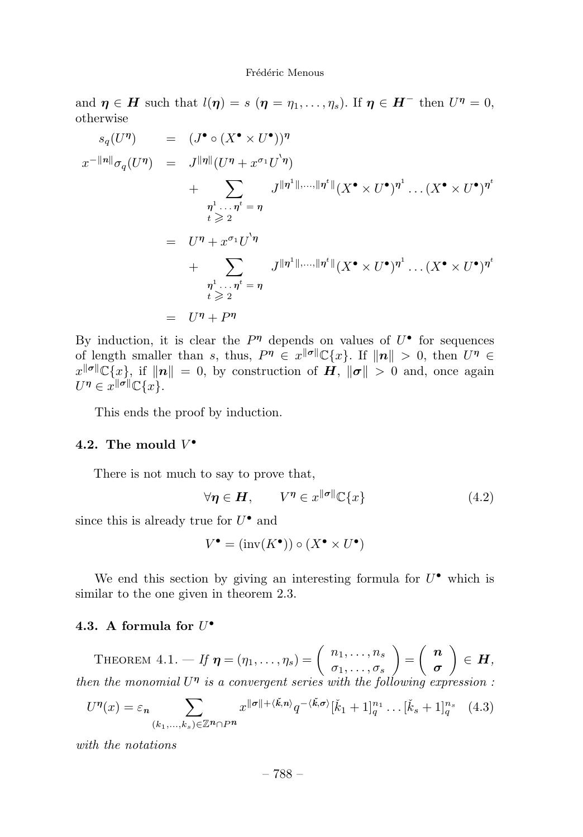and  $\eta \in H$  such that  $l(\eta) = s$  ( $\eta = \eta_1, \ldots, \eta_s$ ). If  $\eta \in H^-$  then  $U^{\eta} = 0$ , otherwise

$$
s_q(U^{\eta}) = (J^{\bullet} \circ (X^{\bullet} \times U^{\bullet}))^{\eta}
$$
  
\n
$$
x^{-\Vert n \Vert} \sigma_q(U^{\eta}) = J^{\Vert \eta \Vert} (U^{\eta} + x^{\sigma_1} U^{\cdot} \eta)
$$
  
\n
$$
+ \sum_{\substack{\eta^1 \dots \eta^t = \eta \\ t \geq 2}} J^{\Vert \eta^1 \Vert, \dots, \Vert \eta^t \Vert} (X^{\bullet} \times U^{\bullet})^{\eta^1} \dots (X^{\bullet} \times U^{\bullet})^{\eta^t}
$$
  
\n
$$
= U^{\eta} + x^{\sigma_1} U^{\cdot} \eta
$$
  
\n
$$
+ \sum_{\substack{\eta^1 \dots \eta^t = \eta \\ t \geq 2}} J^{\Vert \eta^1 \Vert, \dots, \Vert \eta^t \Vert} (X^{\bullet} \times U^{\bullet})^{\eta^1} \dots (X^{\bullet} \times U^{\bullet})^{\eta^t}
$$
  
\n
$$
= U^{\eta} + P^{\eta}
$$

By induction, it is clear the  $P^{\eta}$  depends on values of  $U^{\bullet}$  for sequences of length smaller than *s*, thus,  $P^{\eta} \in x^{\|\sigma\|} \mathbb{C}\{x\}$ . If  $\|\eta\| > 0$ , then  $U^{\eta} \in$  $x^{\|\sigma\|}\mathbb{C}\{x\}$ , if  $\|\mathbf{n}\| = 0$ , by construction of  $\mathbf{H}$ ,  $\|\sigma\| > 0$  and, once again  $U^{\eta} \in x^{\|\sigma\|} \mathbb{C}\{x\}.$ 

This ends the proof by induction.

#### 4.2. The mould  $V^{\bullet}$

There is not much to say to prove that,

$$
\forall \eta \in H, \qquad V^{\eta} \in x^{\|\sigma\|} \mathbb{C}\{x\} \tag{4.2}
$$

since this is already true for  $U^{\bullet}$  and

$$
V^\bullet=(\operatorname{inv}(K^\bullet))\circ(X^\bullet\times U^\bullet)
$$

We end this section by giving an interesting formula for  $U^{\bullet}$  which is similar to the one given in theorem 2.3.

#### **4.3. A formula for** *U*•

THEOREM  $4.1. - If \eta = (\eta_1, \ldots, \eta_s) = \begin{pmatrix} n_1, \ldots, n_s \\ \sigma_1, \ldots, \sigma_s \end{pmatrix}$  $=\begin{pmatrix} n \\ -n \end{pmatrix}$ *σ*  $\Big) \in H,$ then the monomial  $U^{\eta}$  is a convergent series with the following expression :

$$
U^{\eta}(x) = \varepsilon_n \sum_{(k_1,\ldots,k_s)\in\mathbb{Z}^n \cap P^n} x^{\|\sigma\| + \langle \check{k},n\rangle} q^{-\langle \check{k},\sigma\rangle} [\check{k}_1+1]_q^{n_1} \ldots [\check{k}_s+1]_q^{n_s} \quad (4.3)
$$

with the notations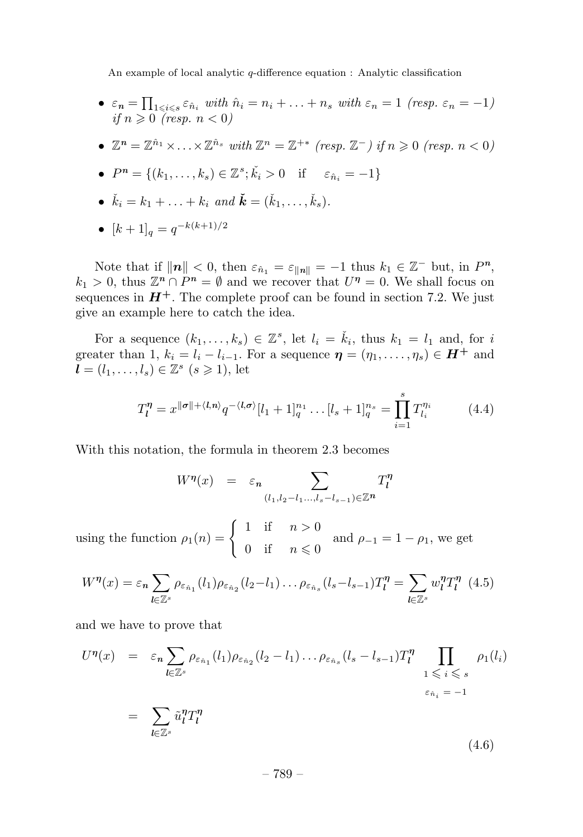•  $\varepsilon_n = \prod_{1 \leq i \leq s} \varepsilon_{\hat{n}_i}$  with  $\hat{n}_i = n_i + \ldots + n_s$  with  $\varepsilon_n = 1$  (resp.  $\varepsilon_n = -1$ ) if  $n \geqslant 0$  (resp.  $n < 0$ )

• 
$$
\mathbb{Z}^n = \mathbb{Z}^{\hat{n}_1} \times \ldots \times \mathbb{Z}^{\hat{n}_s}
$$
 with  $\mathbb{Z}^n = \mathbb{Z}^{+*}$  (resp.  $\mathbb{Z}^-$ ) if  $n \geq 0$  (resp.  $n < 0$ )

• 
$$
P^n = \{(k_1, \ldots, k_s) \in \mathbb{Z}^s; \check{k}_i > 0 \text{ if } \varepsilon_{\hat{n}_i} = -1\}
$$

- $\check{k}_i = k_1 + \ldots + k_i \text{ and } \check{k} = (\check{k}_1, \ldots, \check{k}_s).$
- $[k+1]_q = q^{-k(k+1)/2}$

Note that if  $||n|| < 0$ , then  $\varepsilon_{\hat{n}_1} = \varepsilon_{||n||} = -1$  thus  $k_1 \in \mathbb{Z}^-$  but, in  $P^n$ ,  $k_1 > 0$ , thus  $\mathbb{Z}^n \cap P^n = \emptyset$  and we recover that  $U^n = 0$ . We shall focus on sequences in  $H^+$ . The complete proof can be found in section 7.2. We just give an example here to catch the idea.

For a sequence  $(k_1, \ldots, k_s) \in \mathbb{Z}^s$ , let  $l_i = \check{k}_i$ , thus  $k_1 = l_1$  and, for *i* greater than 1,  $k_i = l_i - l_{i-1}$ . For a sequence  $\boldsymbol{\eta} = (\eta_1, \ldots, \eta_s) \in \boldsymbol{H}^+$  and  $\boldsymbol{l} = (l_1, \ldots, l_s) \in \mathbb{Z}^s \ (s \geq 1)$ , let

$$
T_l^{\eta} = x^{\|\sigma\| + \langle l, n \rangle} q^{-\langle l, \sigma \rangle} [l_1 + 1]_q^{n_1} \dots [l_s + 1]_q^{n_s} = \prod_{i=1}^s T_{l_i}^{\eta_i} \tag{4.4}
$$

With this notation, the formula in theorem 2.3 becomes

$$
W^{\eta}(x) = \varepsilon_n \sum_{(l_1, l_2 - l_1, \ldots, l_s - l_{s-1}) \in \mathbb{Z}^n} T_l^{\eta}
$$

using the function  $\rho_1(n) = \begin{cases} 1 & \text{if } n > 0 \\ 0 & \text{if } n \leq n \end{cases}$ 0 if  $n \leq 0$ and  $\rho_{-1} = 1 - \rho_1$ , we get

$$
W^{\eta}(x) = \varepsilon_n \sum_{l \in \mathbb{Z}^s} \rho_{\varepsilon_{\hat{n}_1}}(l_1) \rho_{\varepsilon_{\hat{n}_2}}(l_2 - l_1) \dots \rho_{\varepsilon_{\hat{n}_s}}(l_s - l_{s-1}) T_l^{\eta} = \sum_{l \in \mathbb{Z}^s} w_l^{\eta} T_l^{\eta} \tag{4.5}
$$

and we have to prove that

$$
U^{\eta}(x) = \varepsilon_n \sum_{l \in \mathbb{Z}^s} \rho_{\varepsilon_{\hat{n}_1}}(l_1) \rho_{\varepsilon_{\hat{n}_2}}(l_2 - l_1) \dots \rho_{\varepsilon_{\hat{n}_s}}(l_s - l_{s-1}) T_l^{\eta} \prod_{1 \leqslant i \leqslant s} \rho_1(l_i)
$$
  

$$
= \sum_{l \in \mathbb{Z}^s} \tilde{u}_l^{\eta} T_l^{\eta}
$$
  

$$
(4.6)
$$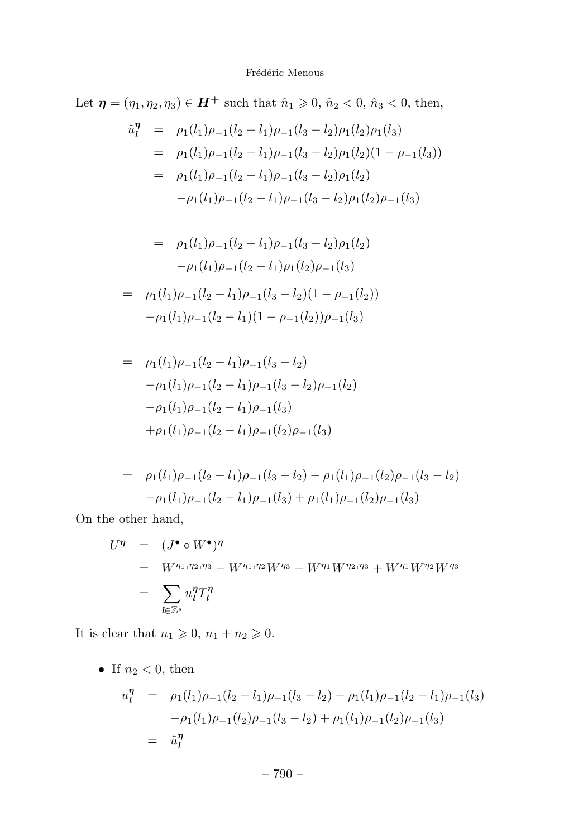Let  $\eta = (\eta_1, \eta_2, \eta_3) \in H^+$  such that  $\hat{n}_1 \geq 0$ ,  $\hat{n}_2 < 0$ ,  $\hat{n}_3 < 0$ , then,

$$
\tilde{u}_l^{\eta} = \rho_1(l_1)\rho_{-1}(l_2 - l_1)\rho_{-1}(l_3 - l_2)\rho_1(l_2)\rho_1(l_3)
$$
  
\n
$$
= \rho_1(l_1)\rho_{-1}(l_2 - l_1)\rho_{-1}(l_3 - l_2)\rho_1(l_2)(1 - \rho_{-1}(l_3))
$$
  
\n
$$
= \rho_1(l_1)\rho_{-1}(l_2 - l_1)\rho_{-1}(l_3 - l_2)\rho_1(l_2)
$$
  
\n
$$
-\rho_1(l_1)\rho_{-1}(l_2 - l_1)\rho_{-1}(l_3 - l_2)\rho_1(l_2)\rho_{-1}(l_3)
$$

$$
= \rho_1(l_1)\rho_{-1}(l_2 - l_1)\rho_{-1}(l_3 - l_2)\rho_1(l_2)
$$

$$
-\rho_1(l_1)\rho_{-1}(l_2 - l_1)\rho_1(l_2)\rho_{-1}(l_3)
$$

$$
= \rho_1(l_1)\rho_{-1}(l_2 - l_1)\rho_{-1}(l_3 - l_2)(1 - \rho_{-1}(l_2))
$$

$$
-\rho_1(l_1)\rho_{-1}(l_2 - l_1)(1 - \rho_{-1}(l_2))\rho_{-1}(l_3)
$$

$$
= \rho_1(l_1)\rho_{-1}(l_2 - l_1)\rho_{-1}(l_3 - l_2)
$$
  
\n
$$
-\rho_1(l_1)\rho_{-1}(l_2 - l_1)\rho_{-1}(l_3 - l_2)\rho_{-1}(l_2)
$$
  
\n
$$
-\rho_1(l_1)\rho_{-1}(l_2 - l_1)\rho_{-1}(l_3)
$$
  
\n
$$
+\rho_1(l_1)\rho_{-1}(l_2 - l_1)\rho_{-1}(l_2)\rho_{-1}(l_3)
$$

$$
= \rho_1(l_1)\rho_{-1}(l_2 - l_1)\rho_{-1}(l_3 - l_2) - \rho_1(l_1)\rho_{-1}(l_2)\rho_{-1}(l_3 - l_2)
$$

$$
-\rho_1(l_1)\rho_{-1}(l_2 - l_1)\rho_{-1}(l_3) + \rho_1(l_1)\rho_{-1}(l_2)\rho_{-1}(l_3)
$$

On the other hand,

$$
U^{\eta} = (J^{\bullet} \circ W^{\bullet})^{\eta}
$$
  
=  $W^{\eta_1, \eta_2, \eta_3} - W^{\eta_1, \eta_2} W^{\eta_3} - W^{\eta_1} W^{\eta_2, \eta_3} + W^{\eta_1} W^{\eta_2} W^{\eta_3}$   
=  $\sum_{l \in \mathbb{Z}^s} u_l^{\eta} T_l^{\eta}$ 

It is clear that  $n_1 \geqslant 0$ ,  $n_1 + n_2 \geqslant 0$ .

• If  $n_2 < 0$ , then

$$
u_l^{\eta} = \rho_1(l_1)\rho_{-1}(l_2 - l_1)\rho_{-1}(l_3 - l_2) - \rho_1(l_1)\rho_{-1}(l_2 - l_1)\rho_{-1}(l_3)
$$
  

$$
-\rho_1(l_1)\rho_{-1}(l_2)\rho_{-1}(l_3 - l_2) + \rho_1(l_1)\rho_{-1}(l_2)\rho_{-1}(l_3)
$$
  

$$
= \tilde{u}_l^{\eta}
$$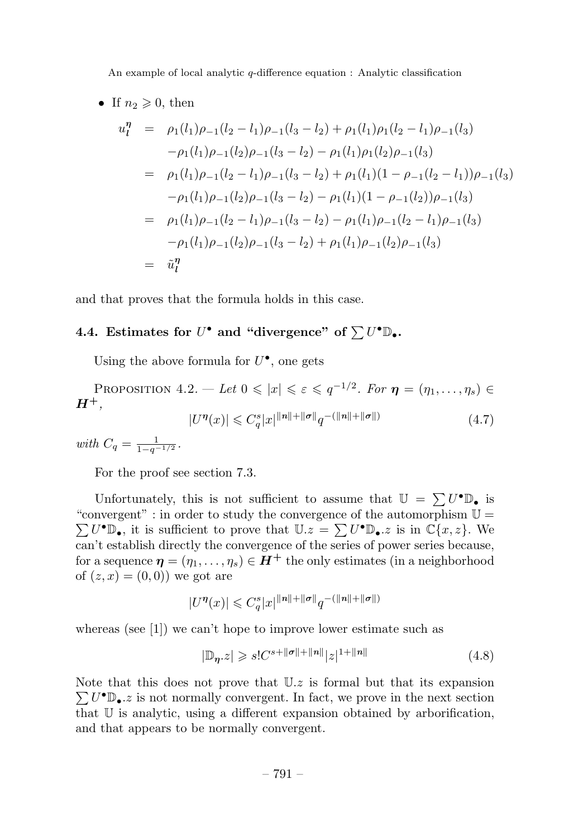• If  $n_2 \geqslant 0$ , then

$$
u_l^{\eta} = \rho_1(l_1)\rho_{-1}(l_2 - l_1)\rho_{-1}(l_3 - l_2) + \rho_1(l_1)\rho_1(l_2 - l_1)\rho_{-1}(l_3)
$$
  
\n
$$
-\rho_1(l_1)\rho_{-1}(l_2)\rho_{-1}(l_3 - l_2) - \rho_1(l_1)\rho_1(l_2)\rho_{-1}(l_3)
$$
  
\n
$$
= \rho_1(l_1)\rho_{-1}(l_2 - l_1)\rho_{-1}(l_3 - l_2) + \rho_1(l_1)(1 - \rho_{-1}(l_2 - l_1))\rho_{-1}(l_3)
$$
  
\n
$$
-\rho_1(l_1)\rho_{-1}(l_2)\rho_{-1}(l_3 - l_2) - \rho_1(l_1)(1 - \rho_{-1}(l_2))\rho_{-1}(l_3)
$$
  
\n
$$
= \rho_1(l_1)\rho_{-1}(l_2 - l_1)\rho_{-1}(l_3 - l_2) - \rho_1(l_1)\rho_{-1}(l_2 - l_1)\rho_{-1}(l_3)
$$
  
\n
$$
-\rho_1(l_1)\rho_{-1}(l_2)\rho_{-1}(l_3 - l_2) + \rho_1(l_1)\rho_{-1}(l_2)\rho_{-1}(l_3)
$$
  
\n
$$
= \tilde{u}_l^{\eta}
$$

and that proves that the formula holds in this case.

# **4.4.** Estimates for  $U^{\bullet}$  and "divergence" of  $\sum U^{\bullet} \mathbb{D}_{\bullet}$ .

Using the above formula for  $U^{\bullet}$ , one gets

PROPOSITION  $4.2. - Let \ 0 \leqslant |x| \leqslant \varepsilon \leqslant q^{-1/2}.$  For  $\eta = (\eta_1, \ldots, \eta_s) \in$ *H***<sup>+</sup>**,  $|U^{\eta}(x)| \leq C_q^s |x|^{\|n\| + \|\sigma\|} q^{-\left(\|n\| + \|\sigma\|\right)}$  (4.7)

 $with C_q = \frac{1}{1 - q^{-1/2}}.$ 

For the proof see section 7.3.

Unfortunately, this is not sufficient to assume that  $\mathbb{U} = \sum U^{\bullet} \mathbb{D}_{\bullet}$  is "convergent" : in order to study the convergence of the automorphism  $\mathbb{U} =$  $\sum U^{\bullet} \mathbb{D}_{\bullet}$ , it is sufficient to prove that  $\mathbb{U}.z = \sum U^{\bullet} \mathbb{D}_{\bullet}.z$  is in  $\mathbb{C}\{x, z\}$ . We can't establish directly the convergence of the series of power series because, for a sequence  $\boldsymbol{\eta} = (\eta_1, \ldots, \eta_s) \in \boldsymbol{H}^+$  the only estimates (in a neighborhood of  $(z, x) = (0, 0)$  we got are

$$
|U^\eta(x)|\leqslant C_q^s|x|^{\|n\|+\|\sigma\|}q^{-(\|n\|+\|\sigma\|)}
$$

whereas (see [1]) we can't hope to improve lower estimate such as

$$
|\mathbb{D}_{\eta}.z| \geqslant s!C^{s+||\sigma||+||n||}|z|^{1+||n||} \tag{4.8}
$$

Note that this does not prove that U*.z* is formal but that its expansion  $\sum U^{\bullet} \mathbb{D}_{\bullet}$ *z* is not normally convergent. In fact, we prove in the next section that U is analytic, using a different expansion obtained by arborification, and that appears to be normally convergent.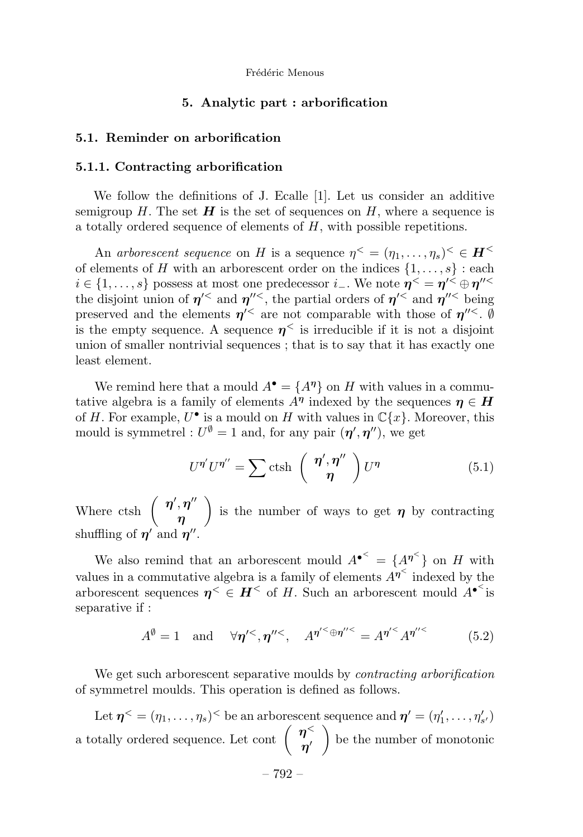#### **5. Analytic part : arborification**

#### **5.1. Reminder on arborification**

#### **5.1.1. Contracting arborification**

We follow the definitions of J. Ecalle [1]. Let us consider an additive semigroup  $H$ . The set  $H$  is the set of sequences on  $H$ , where a sequence is a totally ordered sequence of elements of *H*, with possible repetitions.

An arborescent sequence on *H* is a sequence  $\eta^{\lt} = (\eta_1, \ldots, \eta_s)^{\lt} \in \mathbf{H}^{\lt}$ of elements of *H* with an arborescent order on the indices  $\{1, \ldots, s\}$ : each  $i \in \{1, \ldots, s\}$  possess at most one predecessor  $i$ <sub>−</sub>. We note  $\eta$ <sup><</sup> =  $\eta$ <sup> $\prime$ <</sup> ⊕  $\eta$ <sup> $\prime$ </sup><sup> $\lt$ </sup> the disjoint union of  $\eta$ <sup> $\lt$ </sup> and  $\eta$ <sup> $\prime\lt$ </sup>, the partial orders of  $\eta$ <sup> $\lt$ </sup> and  $\eta$ <sup> $\prime\lt$ </sup> being preserved and the elements  $\eta$ <sup>'<</sup> are not comparable with those of  $\eta$ <sup>'''</sup>. Ø is the empty sequence. A sequence  $\eta^{\langle}$  is irreducible if it is not a disjoint union of smaller nontrivial sequences ; that is to say that it has exactly one least element.

We remind here that a mould  $A^{\bullet} = \{A^{\eta}\}\$  on *H* with values in a commutative algebra is a family of elements  $A^{\eta}$  indexed by the sequences  $\eta \in H$ of *H*. For example,  $U^{\bullet}$  is a mould on *H* with values in  $\mathbb{C}\{x\}$ . Moreover, this mould is symmetrel :  $U^{\emptyset} = 1$  and, for any pair  $(\eta', \eta'')$ , we get

$$
U^{\eta'}U^{\eta''} = \sum \text{ctsh}\left(\begin{array}{c} \eta', \eta''\\ \eta \end{array}\right)U^{\eta} \tag{5.1}
$$

Where ctsh  $\left( \begin{array}{c} \eta',\eta'' \end{array} \right)$ *η* is the number of ways to get  $\eta$  by contracting shuffling of  $\eta'$  and  $\eta''$ .

We also remind that an arborescent mould  $A^{\bullet \leq} = \{A^{\eta \leq}\}\$  on *H* with values in a commutative algebra is a family of elements  $A^{\eta^<}$  indexed by the arborescent sequences  $\eta^{\lt} \in H^{\lt}$  of *H*. Such an arborescent mould  $A^{\bullet\lt}$  is separative if :

$$
A^{\emptyset} = 1
$$
 and  $\forall \eta'^{<}, \eta''^{<}$ ,  $A^{\eta'^{<}} \oplus \eta''^{<} = A^{\eta'^{<}} A^{\eta''^{<}}$  (5.2)

We get such arborescent separative moulds by *contracting arborification* of symmetrel moulds. This operation is defined as follows.

Let  $\eta^{\lt} = (\eta_1, \ldots, \eta_s)^{\lt}$  be an arborescent sequence and  $\eta' = (\eta'_1, \ldots, \eta'_{s'})$ a totally ordered sequence. Let cont  $\begin{pmatrix} \eta^{\lt} \\ \eta' \end{pmatrix}$  be the number of monotonic

– 792 –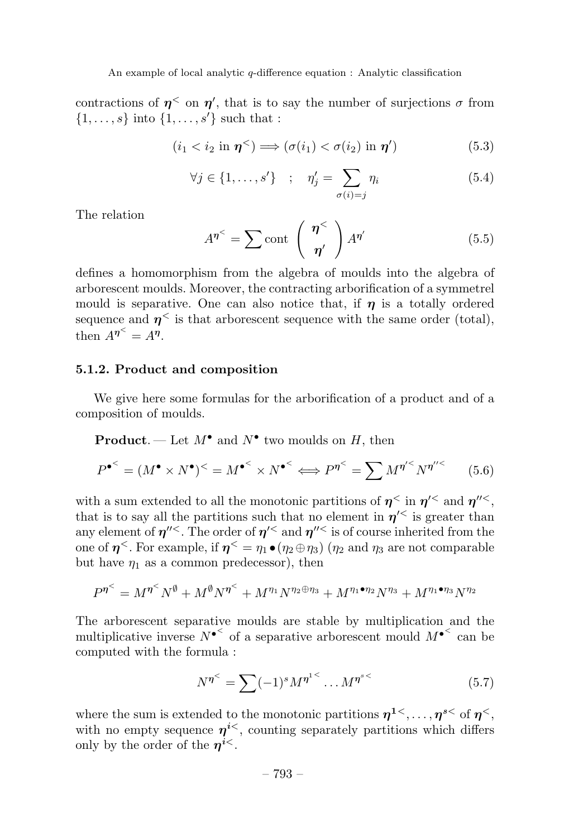contractions of  $\eta^{\lt}$  on  $\eta'$ , that is to say the number of surjections  $\sigma$  from  $\{1, \ldots, s\}$  into  $\{1, \ldots, s'\}$  such that :

$$
(i_1 < i_2 \text{ in } \boldsymbol{\eta}^{\lt} ) \Longrightarrow (\sigma(i_1) < \sigma(i_2) \text{ in } \boldsymbol{\eta}') \tag{5.3}
$$

$$
\forall j \in \{1, \dots, s'\} \quad ; \quad \eta'_j = \sum_{\sigma(i)=j} \eta_i \tag{5.4}
$$

The relation

$$
A^{\eta^{\leq}} = \sum \operatorname{cont} \left( \frac{\eta^{\leq}}{\eta'} \right) A^{\eta'} \tag{5.5}
$$

defines a homomorphism from the algebra of moulds into the algebra of arborescent moulds. Moreover, the contracting arborification of a symmetrel mould is separative. One can also notice that, if  $\eta$  is a totally ordered sequence and  $\eta^{\lt}$  is that arborescent sequence with the same order (total), then  $A^{\eta^{\lt}} = A^{\eta}$ .

#### **5.1.2. Product and composition**

We give here some formulas for the arborification of a product and of a composition of moulds.

# **Product**. — Let  $M^{\bullet}$  and  $N^{\bullet}$  two moulds on *H*, then

$$
P^{\bullet^{\leq}} = (M^{\bullet} \times N^{\bullet})^{\leq} = M^{\bullet^{\leq}} \times N^{\bullet^{\leq}} \Longleftrightarrow P^{\eta^{\leq}} = \sum M^{\eta'^{\leq}} N^{\eta''^{\leq}} \tag{5.6}
$$

with a sum extended to all the monotonic partitions of  $\eta^{\lt}$  in  $\eta^{\prime\lt}$  and  $\eta^{\prime\prime\lt}$ , that is to say all the partitions such that no element in  $\eta$ <sup> $\lt$ </sup> is greater than any element of  $\eta$ <sup>" <</sup>. The order of  $\eta$ <sup>' <</sup> and  $\eta$ <sup>" <</sup> is of course inherited from the one of  $\eta^{\le}$ . For example, if  $\eta^{\le} = \eta_1 \bullet (\eta_2 \oplus \eta_3)$  ( $\eta_2$  and  $\eta_3$  are not comparable but have  $\eta_1$  as a common predecessor), then

$$
P^{\eta^{\leq}} = M^{\eta^{\leq}} N^{\emptyset} + M^{\emptyset} N^{\eta^{\leq}} + M^{\eta_1} N^{\eta_2 \oplus \eta_3} + M^{\eta_1 \bullet \eta_2} N^{\eta_3} + M^{\eta_1 \bullet \eta_3} N^{\eta_2}
$$

The arborescent separative moulds are stable by multiplication and the multiplicative inverse  $N^{\bullet}$  of a separative arborescent mould  $M^{\bullet}$ <sup><</sup> can be computed with the formula :

$$
N^{\eta^{\le}} = \sum (-1)^s M^{\eta^{1\le}} \dots M^{\eta^{s\le}} \tag{5.7}
$$

where the sum is extended to the monotonic partitions  $\eta^{1 \lt}$ ,...,  $\eta^{s \lt}$  of  $\eta^{<}$ , with no empty sequence  $\eta^{i\lt}$ , counting separately partitions which differs only by the order of the  $n^{i\lt}$ .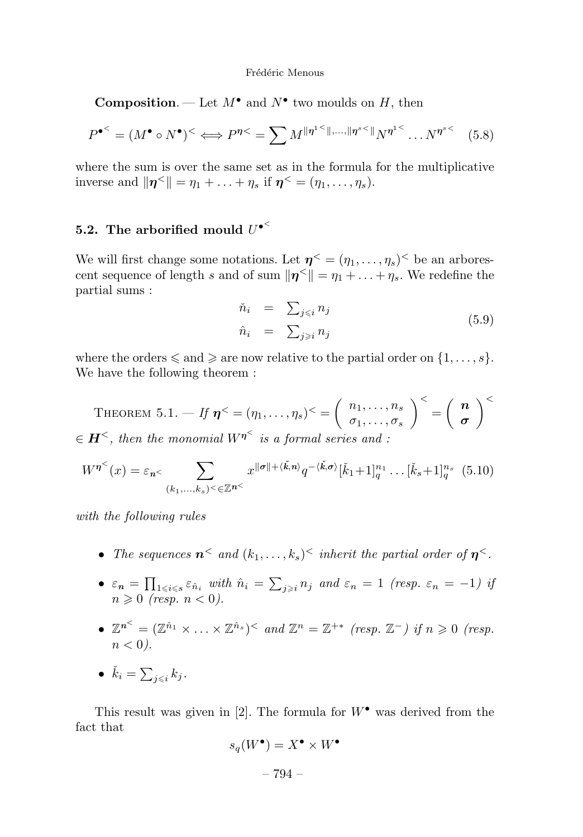**Composition**. — Let  $M^{\bullet}$  and  $N^{\bullet}$  two moulds on *H*, then

$$
P^{\bullet^{\leq}} = (M^{\bullet} \circ N^{\bullet})^{\leq} \Longleftrightarrow P^{\eta \leq} = \sum M^{\|\eta^{1\leq} \|, \dots, \|\eta^{s\leq} \|} N^{\eta^{1\leq}} \dots N^{\eta^{s\leq}} \tag{5.8}
$$

where the sum is over the same set as in the formula for the multiplicative inverse and  $\|\boldsymbol{\eta}^{\leq}\| = \eta_1 + \ldots + \eta_s$  if  $\boldsymbol{\eta}^{\leq} = (\eta_1, \ldots, \eta_s)$ .

# **5.2. The arborified mould** *U*•*<sup>&</sup>lt;*

We will first change some notations. Let  $\eta^{\lt} = (\eta_1, \ldots, \eta_s)^{\lt}$  be an arborescent sequence of length *s* and of sum  $\|\eta^{\leq}\| = \eta_1 + \ldots + \eta_s$ . We redefine the partial sums :

$$
\tilde{n}_i = \sum_{j \le i} n_j
$$
\n
$$
\hat{n}_i = \sum_{j \ge i} n_j
$$
\n(5.9)

where the orders  $\leq$  and  $\geq$  are now relative to the partial order on  $\{1,\ldots,s\}$ . We have the following theorem :

THEOREM  $5.1. - If \eta^{\lt} = (\eta_1, \ldots, \eta_s)^{\lt} = \begin{pmatrix} n_1, \ldots, n_s, \\ \pi & \pi \end{pmatrix}$  $\sigma_1, \ldots, \sigma_s$  $\bigg\}^{\lt} = \left( \begin{array}{c} n \\ \sim \end{array} \right)$ *σ <sup>&</sup>lt;*  $\in$  *H*<sup> $\le$ </sup>, then the monomial  $W^{\eta^{\le}}$  is a formal series and :

$$
W^{\eta^<}(x) = \varepsilon_{n^<} \sum_{(k_1,\ldots,k_s) < \in \mathbb{Z}^{n^<}} x^{\|\sigma\| + \langle \check{k}, n \rangle} q^{-\langle \check{k}, \sigma \rangle} [\check{k}_1 + 1]_q^{n_1} \ldots [\check{k}_s + 1]_q^{n_s} \tag{5.10}
$$

with the following rules

- The sequences  $\mathbf{n}^<$  and  $(k_1, \ldots, k_s)^<$  inherit the partial order of  $\mathbf{n}^<$ .
- $\varepsilon_n = \prod_{1 \leq i \leq s} \varepsilon_{\hat{n}_i}$  with  $\hat{n}_i = \sum_{j \geq i} n_j$  and  $\varepsilon_n = 1$  (resp.  $\varepsilon_n = -1$ ) if  $n \geqslant 0$  (resp.  $n < 0$ ).
- $\mathbb{Z}^{n^{\leq}} = (\mathbb{Z}^{\hat{n}_1} \times \ldots \times \mathbb{Z}^{\hat{n}_s})^{\leq}$  and  $\mathbb{Z}^n = \mathbb{Z}^{+*}$  (resp.  $\mathbb{Z}^{-}$ ) if  $n \geq 0$  (resp.  $n < 0$ ).
- $\check{k}_i = \sum_{j \leqslant i} k_j$ .

This result was given in [2]. The formula for  $W^{\bullet}$  was derived from the fact that

$$
s_q(W^{\bullet}) = X^{\bullet} \times W^{\bullet}
$$

$$
-794\; -
$$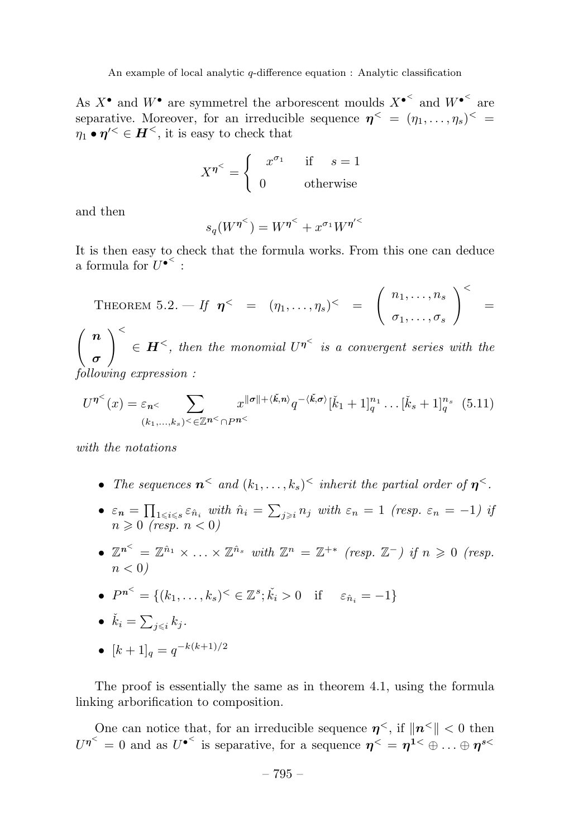As  $X^{\bullet}$  and  $W^{\bullet}$  are symmetrel the arborescent moulds  $X^{\bullet}$ <sup><</sup> and  $W^{\bullet}$ <sup><</sup> are separative. Moreover, for an irreducible sequence  $\eta^{\lt} = (\eta_1, \ldots, \eta_s)^{\lt}$  $\eta_1 \bullet \eta^{\prime \leq \in \mathbf{H}^{\leq}$ , it is easy to check that

$$
X^{\eta^<} = \begin{cases} x^{\sigma_1} & \text{if } s = 1 \\ 0 & \text{otherwise} \end{cases}
$$

and then

$$
s_q(W^{\eta^<}) = W^{\eta^<} + x^{\sigma_1} W^{\eta'^<}
$$

It is then easy to check that the formula works. From this one can deduce a formula for  $U^{\bullet}$ <sup> $\leq$ </sup>:

THEOREM 5.2. 
$$
- If \ \boldsymbol{\eta}^{\lt} = (\eta_1, \ldots, \eta_s)^{\lt} = \begin{pmatrix} n_1, \ldots, n_s \\ \sigma_1, \ldots, \sigma_s \end{pmatrix}^{\lt} =
$$

 *n σ <sup>&</sup>lt;*  $\in$  *H*<sup> $\le$ </sup>, then the monomial  $U^{\eta^{\le}}$  is a convergent series with the following expression :

$$
U^{\eta^{<}}(x) = \varepsilon_{n^{<}} \sum_{(k_1,\ldots,k_s)<\in\mathbb{Z}^{n^{<}}\cap P^{n^{<}}}\!\!\!\!\!\!\!\!\!\!\!x^{\|\sigma\|+\langle \check{k},n\rangle}q^{-\langle \check{k},\sigma\rangle}[\check{k}_1+1]_q^{n_1}\ldots[\check{k}_s+1]_q^{n_s} \quad (5.11)
$$

with the notations

- The sequences  $n^<$  and  $(k_1, \ldots, k_s)$ <sup> $\leq$ </sup> inherit the partial order of  $n^<$ .
- $\varepsilon_n = \prod_{1 \leq i \leq s} \varepsilon_{\hat{n}_i}$  with  $\hat{n}_i = \sum_{j \geq i} n_j$  with  $\varepsilon_n = 1$  (resp.  $\varepsilon_n = -1$ ) if  $n \geqslant 0$  (resp.  $n < 0$ )
- $\mathbb{Z}^{n^{\le}} = \mathbb{Z}^{\hat{n}_1} \times \ldots \times \mathbb{Z}^{\hat{n}_s}$  with  $\mathbb{Z}^n = \mathbb{Z}^{+*}$  (resp.  $\mathbb{Z}^-$ ) if  $n \geq 0$  (resp.  $n < 0$

• 
$$
P^{n^{\leq}} = \{(k_1, \ldots, k_s)^{\leq} \in \mathbb{Z}^s; \check{k}_i > 0 \text{ if } \varepsilon_{\hat{n}_i} = -1\}
$$

• 
$$
\check{k}_i = \sum_{j \leq i} k_j
$$
.

• 
$$
[k+1]_q = q^{-k(k+1)/2}
$$

The proof is essentially the same as in theorem 4.1, using the formula linking arborification to composition.

One can notice that, for an irreducible sequence  $\eta^{\lt}$ , if  $\|\eta^{\lt} \|$   $\lt$  0 then  $U^{\eta^{\le}} = 0$  and as  $U^{\bullet^{\le}}$  is separative, for a sequence  $\eta^{\le} = \eta^{1 \le} \oplus ... \oplus \eta^{s \le n}$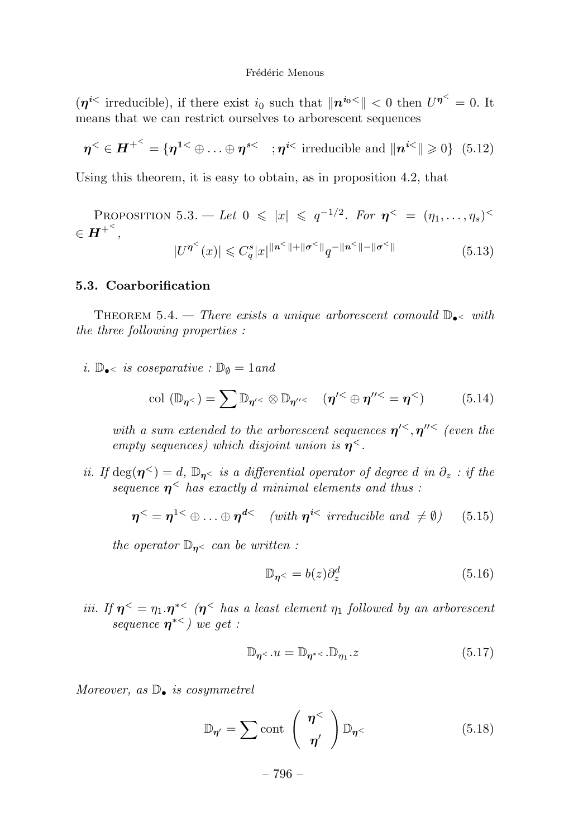$(\eta^{i\lt}$  irreducible), if there exist  $i_0$  such that  $\|\eta^{i_0\lt}\|$   $\lt 0$  then  $U^{\eta^{\lt}} = 0$ . It means that we can restrict ourselves to arborescent sequences

$$
\boldsymbol{\eta}^{\leq} \in \boldsymbol{H}^{+\leq} = \{ \boldsymbol{\eta}^{\mathbf{1} \leq} \oplus \ldots \oplus \boldsymbol{\eta}^{\mathbf{s} \leq} \; ; \boldsymbol{\eta}^{\mathbf{i} \leq} \; \text{irreducible and} \; \| \boldsymbol{n}^{\mathbf{i} \leq} \| \geq 0 \} \; \; (5.12)
$$

Using this theorem, it is easy to obtain, as in proposition 4.2, that

PROPOSITION 5.3. – Let 
$$
0 \le |x| \le q^{-1/2}
$$
. For  $\eta^{\lt} = (\eta_1, ..., \eta_s)^{\lt} \in \mathbf{H}^{+\lt}$ ,  
\n
$$
|U^{\eta^{\lt}(x)}| \le C_q^s |x|^{\|\mathbf{n}^{\lt}(x)\|} \mathbf{q}^{-\|\mathbf{n}^{\lt}(x)\|} e^{-\|\mathbf{q}^{\lt}(x)\|} \tag{5.13}
$$

#### **5.3. Coarborification**

Theorem 5.4. — There exists a unique arborescent comould D•*<sup>&</sup>lt;* with the three following properties :

i.  $\mathbb{D}_{\bullet}$  is coseparative :  $\mathbb{D}_{\emptyset} = 1$  and

$$
\text{col } (\mathbb{D}_{\eta^{\lt}}) = \sum \mathbb{D}_{\eta^{\prime \lt}} \otimes \mathbb{D}_{\eta^{\prime \prime \lt}} \quad (\eta^{\prime \lt} \oplus \eta^{\prime \prime \lt} = \eta^{\lt}) \tag{5.14}
$$

with a sum extended to the arborescent sequences  $\eta$ <sup> $\lt$ </sup>,  $\eta$ <sup> $\prime\lt$ </sup> (even the empty sequences) which disjoint union is  $\eta^<$ .

ii. If  $deg(\eta^{\le}) = d$ ,  $\mathbb{D}_{\eta^{\le}}$  is a differential operator of degree *d* in  $\partial_z$  : if the sequence  $\eta^<$  has exactly *d* minimal elements and thus :

$$
\eta^{\lt} = \eta^{1\lt} \oplus \ldots \oplus \eta^{d\lt} \quad (\text{with } \eta^{i\lt} \text{ irreducible and } \neq \emptyset) \quad (5.15)
$$

the operator  $\mathbb{D}_n$  can be written :

$$
\mathbb{D}_{\eta<} = b(z)\partial_z^d \tag{5.16}
$$

iii. If  $\eta^{\lt} = \eta_1 \cdot \eta^{*\lt}$  ( $\eta^{\lt}$  has a least element  $\eta_1$  followed by an arborescent sequence *η*<sup>∗</sup>*<sup>&</sup>lt;*) we get :

$$
\mathbb{D}_{\eta<\cdot}u = \mathbb{D}_{\eta<\cdot}u, \mathbb{D}_{\eta_1\cdot}z \tag{5.17}
$$

Moreover, as  $\mathbb{D}_{\bullet}$  is cosymmetrel

$$
\mathbb{D}_{\eta'} = \sum \text{cont} \begin{pmatrix} \eta^< \\ \eta' \end{pmatrix} \mathbb{D}_{\eta^<} \qquad (5.18)
$$

– 796 –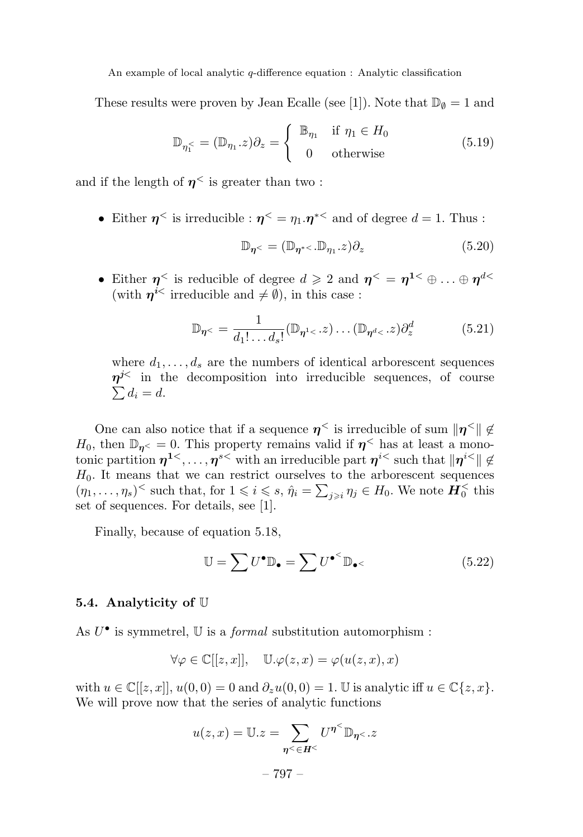These results were proven by Jean Ecalle (see [1]). Note that  $\mathbb{D}_{\emptyset} = 1$  and

$$
\mathbb{D}_{\eta_1^{\le}} = (\mathbb{D}_{\eta_1}.z)\partial_z = \begin{cases} \mathbb{B}_{\eta_1} & \text{if } \eta_1 \in H_0 \\ 0 & \text{otherwise} \end{cases}
$$
(5.19)

and if the length of  $\eta^{\lt}$  is greater than two:

• Either  $\eta^{\le}$  is irreducible :  $\eta^{\le} = \eta_1 \cdot \eta^{* \le}$  and of degree  $d = 1$ . Thus :

$$
\mathbb{D}_{\eta^{\lt}} = (\mathbb{D}_{\eta^{\lt}} \cdot \mathbb{D}_{\eta_1} \cdot z)\partial_z \tag{5.20}
$$

• Either  $\eta^{\lt}$  is reducible of degree  $d \geqslant 2$  and  $\eta^{\lt} = \eta^{1 \lt} \oplus \ldots \oplus \eta^{d \lt}$ (with  $n^{i\lt}$  irreducible and  $\neq \emptyset$ ), in this case :

$$
\mathbb{D}_{\eta<} = \frac{1}{d_1! \dots d_s!} (\mathbb{D}_{\eta<} \cdot z) \dots (\mathbb{D}_{\eta<} \cdot z) \partial_z^d \tag{5.21}
$$

where  $d_1, \ldots, d_s$  are the numbers of identical arborescent sequences *η<sup>j</sup><sup>&</sup>lt;* in the decomposition into irreducible sequences, of course  $\sum d_i = d$ .

One can also notice that if a sequence  $\eta^{\le}$  is irreducible of sum  $\|\eta^{\le}\| \notin$ *H*<sub>0</sub>, then  $\mathbb{D}_{\eta}$ <sup> $\lt$  = 0. This property remains valid if  $\eta$ <sup> $\lt$ </sup> has at least a mono-</sup> tonic partition  $\eta^{1 \lt}$ ,...,  $\eta^{s \lt}$  with an irreducible part  $\eta^{i \lt}$  such that  $\|\eta^{i \lt} \| \notin$  $H_0$ . It means that we can restrict ourselves to the arborescent sequences  $(\eta_1, \ldots, \eta_s)$ <sup> $\leq$ </sup> such that, for  $1 \leq i \leq s$ ,  $\hat{\eta}_i = \sum_{j \geq i} \eta_j \in H_0$ . We note  $\mathbf{H}_0^{\leq}$  this set of sequences. For details, see [1].

Finally, because of equation 5.18,

$$
\mathbb{U} = \sum U^{\bullet} \mathbb{D}_{\bullet} = \sum U^{\bullet} \mathbb{D}_{\bullet} \tag{5.22}
$$

#### **5.4. Analyticity of** U

As *U*• is symmetrel, U is a formal substitution automorphism :

$$
\forall \varphi \in \mathbb{C}[[z, x]], \quad \mathbb{U}.\varphi(z, x) = \varphi(u(z, x), x)
$$

with  $u \in \mathbb{C}[[z,x]], u(0,0) = 0$  and  $\partial_z u(0,0) = 1$ . U is analytic iff  $u \in \mathbb{C}\{z,x\}$ . We will prove now that the series of analytic functions

$$
u(z,x) = \mathbb{U}.z = \sum_{\eta \le \in H^{\le}} U^{\eta^{\le}} \mathbb{D}_{\eta \le .z}
$$

$$
-797 -
$$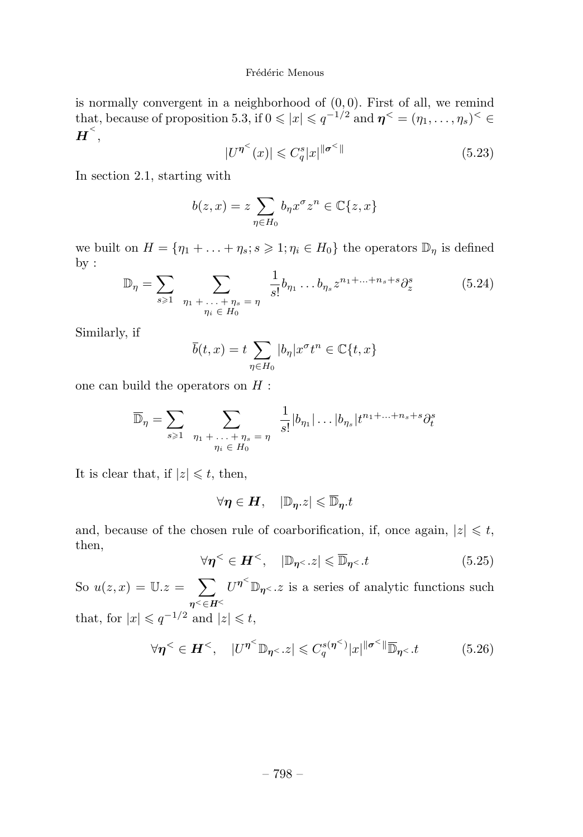is normally convergent in a neighborhood of (0*,* 0). First of all, we remind that, because of proposition 5.3, if  $0 \leqslant |x| \leqslant q^{-1/2}$  and  $\eta^{\lt} = (\eta_1, \ldots, \eta_s)^{\lt} \in$  $\boldsymbol{H}^{<}$  ,

$$
|U^{\eta^<}(x)| \leqslant C_q^s |x|^{\|\sigma^<\|} \tag{5.23}
$$

In section 2.1, starting with

$$
b(z,x)=z\sum_{\eta\in H_0}b_{\eta}x^{\sigma}z^n\in\mathbb{C}\{z,x\}
$$

we built on  $H = {\eta_1 + \ldots + \eta_s; s \geqslant 1; \eta_i \in H_0}$  the operators  $\mathbb{D}_{\eta}$  is defined by :

$$
\mathbb{D}_{\eta} = \sum_{s \geq 1} \sum_{\substack{\eta_1 + \dots + \eta_s = \eta \\ \eta_i \in H_0}} \frac{1}{s!} b_{\eta_1} \dots b_{\eta_s} z^{n_1 + \dots + n_s + s} \partial_z^s \tag{5.24}
$$

Similarly, if

$$
\overline{b}(t,x) = t \sum_{\eta \in H_0} |b_{\eta}| x^{\sigma} t^n \in \mathbb{C}\{t,x\}
$$

one can build the operators on *H* :

$$
\overline{\mathbb{D}}_{\eta} = \sum_{s \geq 1} \sum_{\substack{\eta_1 + \ldots + \eta_s = \eta \\ \eta_i \in H_0}} \frac{1}{s!} |b_{\eta_1}| \ldots |b_{\eta_s}| t^{n_1 + \ldots + n_s + s} \partial_t^s
$$

It is clear that, if  $|z| \leq t$ , then,

$$
\forall \boldsymbol{\eta} \in \boldsymbol{H}, \quad |\mathbb{D}_{\boldsymbol{\eta}}.z| \leqslant \overline{\mathbb{D}}_{\boldsymbol{\eta}}.t
$$

and, because of the chosen rule of coarborification, if, once again,  $|z| \leq t$ , then,

$$
\forall \eta^{\leq} \in H^{\leq}, \quad |\mathbb{D}_{\eta^{\leq}}.z| \leq \overline{\mathbb{D}}_{\eta^{\leq}}.t \tag{5.25}
$$

So  $u(z, x) = \mathbb{U}.z = \sum$ *η<*∈*H<sup>&</sup>lt;*  $U^{\eta^<} \mathbb{D}_{\eta^<}$  *z* is a series of analytic functions such that, for  $|x| \leqslant q^{-1/2}$  and  $|z| \leqslant t$ ,

$$
\forall \eta^{\leq} \in H^{\leq}, \quad |U^{\eta^{\leq}} \mathbb{D}_{\eta^{\leq}}.z| \leq C_q^{s(\eta^{\leq})}|x|^{\|\sigma^{\leq}\|} \overline{\mathbb{D}}_{\eta^{\leq}}.t \tag{5.26}
$$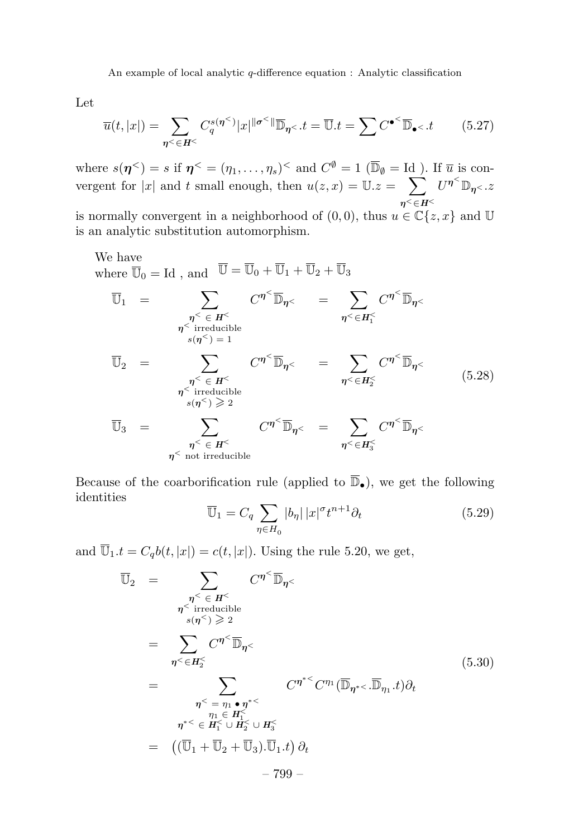Let

$$
\overline{u}(t,|x|) = \sum_{\eta \le \in H^{\le}} C_q^{s(\eta^{\le})} |x|^{||\sigma^{\le}||} \overline{\mathbb{D}}_{\eta^{\le}}.t = \overline{\mathbb{U}}.t = \sum C^{\bullet^{\le}} \overline{\mathbb{D}}_{\bullet^{\le}}.t \qquad (5.27)
$$

where  $s(\eta^{\lt}) = s$  if  $\eta^{\lt} = (\eta_1, \ldots, \eta_s)^{\lt}$  and  $C^{\emptyset} = 1$  ( $\overline{\mathbb{D}}_{\emptyset} = \text{Id}$ ). If  $\overline{u}$  is convergent for |x| and t small enough, then  $u(z, x) = U.z = \sum$ *η<*∈*H<sup>&</sup>lt;*  $U^{\boldsymbol{\eta}^<} \mathbb{D}_{\boldsymbol{\eta}^<}$  .  $z$ is normally convergent in a neighborhood of  $(0,0)$ , thus  $u \in \mathbb{C}\{z,x\}$  and U

is an analytic substitution automorphism.

We have  
\nwhere 
$$
\overline{U}_0 = Id
$$
, and  $\overline{U} = \overline{U}_0 + \overline{U}_1 + \overline{U}_2 + \overline{U}_3$   
\n
$$
\overline{U}_1 = \sum_{\substack{\eta \leq \in H^{\leq} \\ \eta \leq \text{ irreducible} \\ s(\eta^{\leq}) = 1}} C^{\eta^{\leq}} \overline{\mathbb{D}}_{\eta^{\leq}} = \sum_{\substack{\eta \leq \in H_1^{\leq} \\ \eta \leq \text{ irreducible} \\ s(\eta^{\leq}) \geq 2}} C^{\eta^{\leq}} \overline{\mathbb{D}}_{\eta^{\leq}}
$$
\n
$$
\overline{U}_2 = \sum_{\substack{\eta \leq \in H^{\leq} \\ \eta \leq \text{irreducible} \\ s(\eta^{\leq}) \geq 2}} C^{\eta^{\leq}} \overline{\mathbb{D}}_{\eta^{\leq}} = \sum_{\substack{\eta \leq \in H_2^{\leq} \\ \eta \leq \text{r.t irreducible} \\ \eta^{\leq} \text{ not irreducible}}} C^{\eta^{\leq}} \overline{\mathbb{D}}_{\eta^{\leq}}
$$
\n(5.28)

Because of the coarborification rule (applied to  $\overline{\mathbb{D}}_{\bullet}$ ), we get the following identities

$$
\overline{\mathbb{U}}_1 = C_q \sum_{\eta \in H_0} |b_{\eta}| |x|^{\sigma} t^{n+1} \partial_t \tag{5.29}
$$

and  $\overline{\mathbb{U}}_1.t = C_q b(t, |x|) = c(t, |x|)$ . Using the rule 5.20, we get,

U<sup>2</sup> = *η<sup>&</sup>lt;* ∈ *H<sup>&</sup>lt; η<sup>&</sup>lt;* irreducible *<sup>s</sup>*(*η<*) <sup>2</sup> *C<sup>η</sup><sup>&</sup>lt;* D*η<sup>&</sup>lt;* = *η<*∈*H<sup>&</sup>lt;* 2 *C<sup>η</sup><sup>&</sup>lt;* D*η<sup>&</sup>lt;* = *η<sup>&</sup>lt;* = *η*<sup>1</sup> • *η*∗*<sup>&</sup>lt; η*<sup>1</sup> ∈ *H<sup>&</sup>lt;* 1 *η*∗*<sup>&</sup>lt;* ∈ *H<sup>&</sup>lt;* <sup>1</sup> <sup>∪</sup> *<sup>H</sup><sup>&</sup>lt;* <sup>2</sup> <sup>∪</sup> *<sup>H</sup><sup>&</sup>lt;* 3 *C<sup>η</sup>*∗*<sup>&</sup>lt; C<sup>η</sup>*<sup>1</sup> (D*<sup>η</sup>*∗*<sup>&</sup>lt; .*D*<sup>η</sup>*<sup>1</sup> *.t*)*∂<sup>t</sup>* = (U<sup>1</sup> + U<sup>2</sup> + U3)*.*U1*.t ∂t* (5.30) – 799 –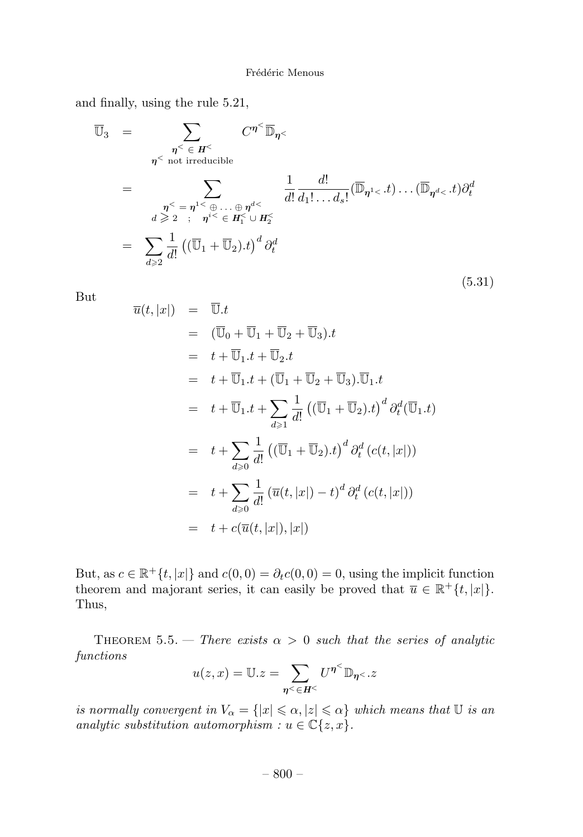and finally, using the rule 5.21,

$$
\overline{\mathbb{U}}_3 = \sum_{\substack{\eta^{\le} \in H^{\le} \\ \eta^{\le} \text{ not irreducible} \\ d \geq 2 \ \vdots \ \eta^{i \leq} \in H^{\leq} \\ d \geq 2}} C^{\eta^{\leq} \overline{\mathbb{D}}_{\eta^{\leq}}} \frac{C^{\eta^{\leq} \overline{\mathbb{D}}_{\eta^{\leq}}} \\ \frac{1}{d!} \frac{d!}{d_1! \dots d_s!} (\overline{\mathbb{D}}_{\eta^{1 \leq t}}) \dots (\overline{\mathbb{D}}_{\eta^{d \leq t}}) \partial_t^d
$$
\n
$$
= \sum_{d \geq 2} \frac{1}{d!} \left( (\overline{\mathbb{U}}_1 + \overline{\mathbb{U}}_2) . t \right)^d \partial_t^d
$$
\n
$$
(5.31)
$$

But

$$
\overline{u}(t,|x|) = \overline{\mathbb{U}}.t
$$
\n
$$
= (\overline{\mathbb{U}}_0 + \overline{\mathbb{U}}_1 + \overline{\mathbb{U}}_2 + \overline{\mathbb{U}}_3).t
$$
\n
$$
= t + \overline{\mathbb{U}}_1. t + \overline{\mathbb{U}}_2. t
$$
\n
$$
= t + \overline{\mathbb{U}}_1. t + (\overline{\mathbb{U}}_1 + \overline{\mathbb{U}}_2 + \overline{\mathbb{U}}_3). \overline{\mathbb{U}}_1. t
$$
\n
$$
= t + \overline{\mathbb{U}}_1. t + \sum_{d \geqslant 1} \frac{1}{d!} ((\overline{\mathbb{U}}_1 + \overline{\mathbb{U}}_2).t)^d \partial_t^d (\overline{\mathbb{U}}_1. t)
$$
\n
$$
= t + \sum_{d \geqslant 0} \frac{1}{d!} ((\overline{\mathbb{U}}_1 + \overline{\mathbb{U}}_2).t)^d \partial_t^d (c(t,|x|))
$$
\n
$$
= t + \sum_{d \geqslant 0} \frac{1}{d!} (\overline{u}(t,|x|) - t)^d \partial_t^d (c(t,|x|))
$$
\n
$$
= t + c(\overline{u}(t,|x|),|x|)
$$

But, as  $c \in \mathbb{R}^+\{t, |x|\}$  and  $c(0,0) = \partial_t c(0,0) = 0$ , using the implicit function theorem and majorant series, it can easily be proved that  $\overline{u} \in \mathbb{R}^+\{t, |x|\}.$ Thus,

THEOREM 5.5. — There exists  $\alpha > 0$  such that the series of analytic functions

$$
u(z,x) = \mathbb{U}.z = \sum_{\eta \leq \in H^{\leq}} U^{\eta^{<}} \mathbb{D}_{\eta^{<}}.z
$$

is normally convergent in  $V_{\alpha} = \{|x| \leqslant \alpha, |z| \leqslant \alpha\}$  which means that  $\mathbb U$  is an analytic substitution automorphism :  $u \in \mathbb{C}\lbrace z, x \rbrace$ .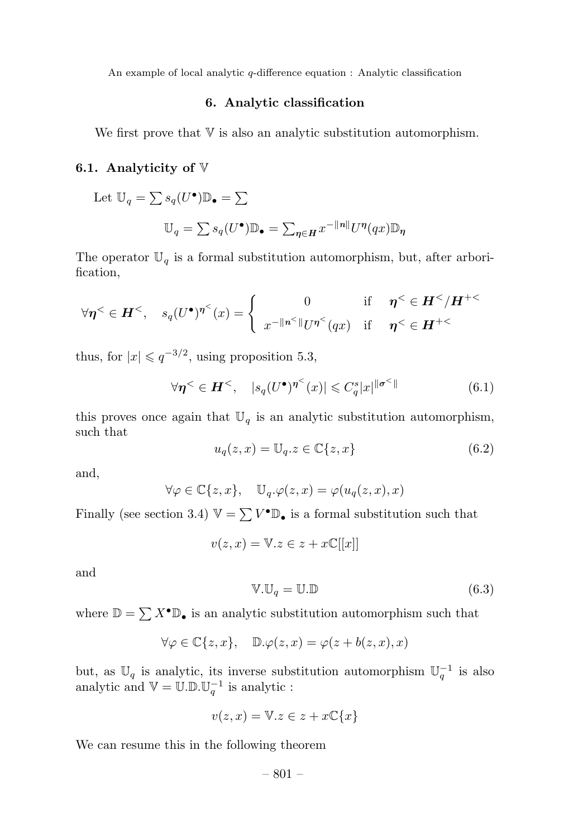#### **6. Analytic classification**

We first prove that  $V$  is also an analytic substitution automorphism.

#### **6.1. Analyticity of** V

Let 
$$
\mathbb{U}_q = \sum s_q(U^{\bullet}) \mathbb{D}_{\bullet} = \sum
$$
  

$$
\mathbb{U}_q = \sum s_q(U^{\bullet}) \mathbb{D}_{\bullet} = \sum_{\eta \in H} x^{-||n||} U^{\eta}(qx) \mathbb{D}_{\eta}
$$

The operator  $\mathbb{U}_q$  is a formal substitution automorphism, but, after arborification,

$$
\forall \eta^{\lt} \in H^{\lt} , \quad s_q(U^{\bullet})^{\eta^{\lt} }(x) = \begin{cases} 0 & \text{if } \eta^{\lt} \in H^{\lt}/H^{+\lt} \\ x^{-\Vert n^{\lt} \Vert} U^{\eta^{\lt} }(qx) & \text{if } \eta^{\lt} \in H^{+\lt} \end{cases}
$$

thus, for  $|x| \leqslant q^{-3/2}$ , using proposition 5.3,

$$
\forall \eta^{\leq} \in H^{\leq}, \quad |s_q(U^{\bullet})^{\eta^{\leq}}(x)| \leq C_q^s |x|^{\|\sigma^{\leq}\|} \tag{6.1}
$$

this proves once again that  $\mathbb{U}_q$  is an analytic substitution automorphism, such that

$$
u_q(z,x) = \mathbb{U}_q.z \in \mathbb{C}\{z,x\}
$$
\n(6.2)

and,

$$
\forall \varphi \in \mathbb{C}\{z, x\}, \quad \mathbb{U}_q.\varphi(z, x) = \varphi(u_q(z, x), x)
$$

Finally (see section 3.4)  $\mathbb{V} = \sum V^{\bullet} \mathbb{D}_{\bullet}$  is a formal substitution such that

$$
v(z, x) = \mathbb{V}.z \in z + x\mathbb{C}[[x]]
$$

and

$$
\mathbb{V}.\mathbb{U}_q = \mathbb{U}.\mathbb{D} \tag{6.3}
$$

where  $\mathbb{D} = \sum X^{\bullet} \mathbb{D}_{\bullet}$  is an analytic substitution automorphism such that

$$
\forall \varphi \in \mathbb{C}\{z,x\}, \quad \mathbb{D}.\varphi(z,x) = \varphi(z+b(z,x),x)
$$

but, as  $\mathbb{U}_q$  is analytic, its inverse substitution automorphism  $\mathbb{U}_q^{-1}$  is also analytic and  $\mathbb{V} = \mathbb{U}.\mathbb{D}.\mathbb{U}_q^{-1}$  is analytic :

$$
v(z, x) = \mathbb{V}.z \in z + x\mathbb{C}\{x\}
$$

We can resume this in the following theorem

$$
-801 -
$$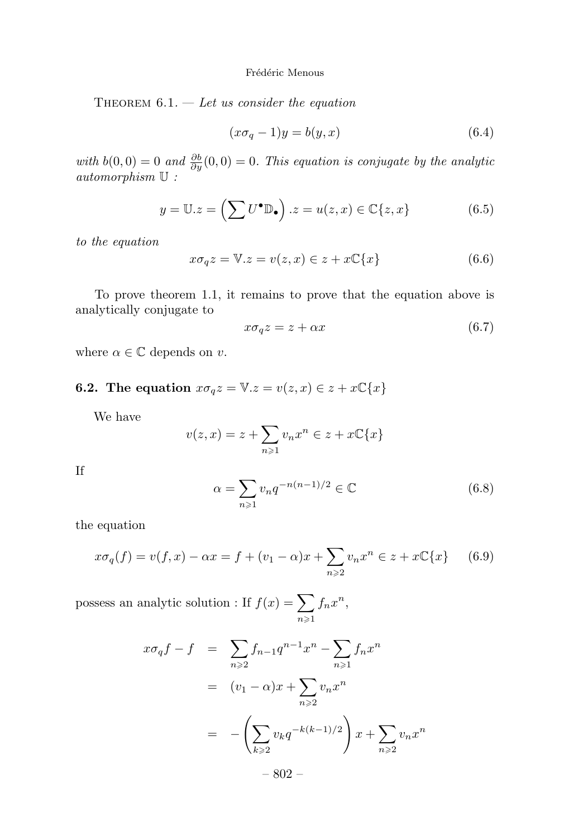THEOREM  $6.1.$  – Let us consider the equation

$$
(x\sigma_q - 1)y = b(y, x) \tag{6.4}
$$

with  $b(0,0) = 0$  and  $\frac{\partial b}{\partial y}(0,0) = 0$ . This equation is conjugate by the analytic automorphism U :

$$
y = \mathbb{U}.z = \left(\sum U^{\bullet} \mathbb{D}_{\bullet}\right).z = u(z,x) \in \mathbb{C}\{z,x\}
$$
 (6.5)

to the equation

$$
x\sigma_q z = \mathbb{V}.z = v(z, x) \in z + x\mathbb{C}\lbrace x \rbrace
$$
 (6.6)

To prove theorem 1.1, it remains to prove that the equation above is analytically conjugate to

$$
x\sigma_q z = z + \alpha x \tag{6.7}
$$

where  $\alpha \in \mathbb{C}$  depends on *v*.

# **6.2. The equation**  $x\sigma_q z = \mathbb{V}.z = v(z, x) \in z + x\mathbb{C}{x}$

We have

$$
v(z,x) = z + \sum_{n \ge 1} v_n x^n \in z + x \mathbb{C}\{x\}
$$

If

$$
\alpha = \sum_{n\geq 1} v_n q^{-n(n-1)/2} \in \mathbb{C}
$$
\n(6.8)

the equation

$$
x\sigma_q(f) = v(f, x) - \alpha x = f + (v_1 - \alpha)x + \sum_{n \ge 2} v_n x^n \in z + x\mathbb{C}{x}
$$
 (6.9)

possess an analytic solution : If  $f(x) = \sum$  $n \geqslant 1$  $f_n x^n$ ,

$$
x\sigma_q f - f = \sum_{n\geqslant 2} f_{n-1} q^{n-1} x^n - \sum_{n\geqslant 1} f_n x^n
$$
  
=  $(v_1 - \alpha)x + \sum_{n\geqslant 2} v_n x^n$   
=  $-\left(\sum_{k\geqslant 2} v_k q^{-k(k-1)/2}\right) x + \sum_{n\geqslant 2} v_n x^n$   
- 802 -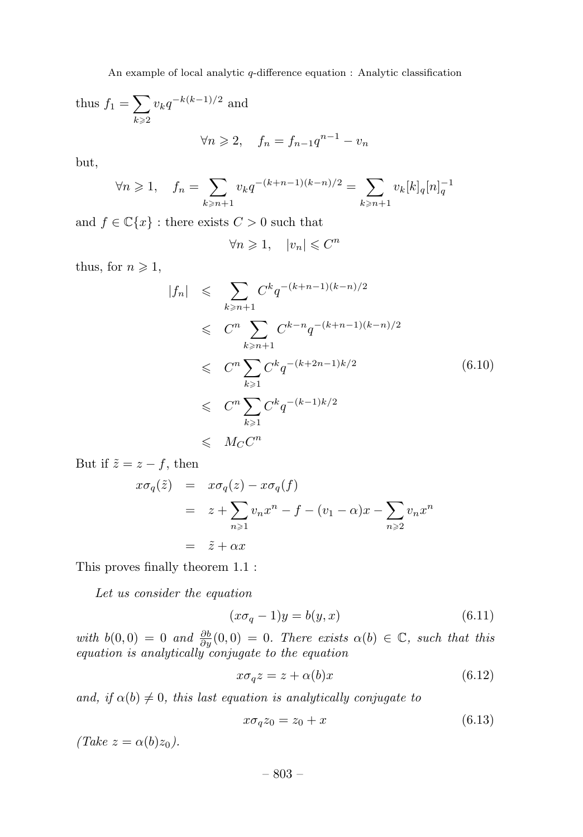thus 
$$
f_1 = \sum_{k \ge 2} v_k q^{-k(k-1)/2}
$$
 and

$$
\forall n \geqslant 2, \quad f_n = f_{n-1}q^{n-1} - v_n
$$

but,

$$
\forall n \geq 1, \quad f_n = \sum_{k \geq n+1} v_k q^{-(k+n-1)(k-n)/2} = \sum_{k \geq n+1} v_k [k]_q [n]_q^{-1}
$$

and  $f \in \mathbb{C}\lbrace x \rbrace$ : there exists  $C > 0$  such that

$$
\forall n \geq 1, \quad |v_n| \leq C^n
$$

thus, for  $n \geq 1$ ,

$$
|f_n| \leqslant \sum_{k \geqslant n+1} C^k q^{-(k+n-1)(k-n)/2}
$$
  
\n
$$
\leqslant C^n \sum_{k \geqslant n+1} C^{k-n} q^{-(k+n-1)(k-n)/2}
$$
  
\n
$$
\leqslant C^n \sum_{k \geqslant 1} C^k q^{-(k+2n-1)k/2}
$$
  
\n
$$
\leqslant C^n \sum_{k \geqslant 1} C^k q^{-(k-1)k/2}
$$
  
\n
$$
\leqslant M_C C^n
$$
 (6.10)

But if  $\tilde{z} = z - f$ , then

$$
x\sigma_q(\tilde{z}) = x\sigma_q(z) - x\sigma_q(f)
$$
  
=  $z + \sum_{n\geq 1} v_n x^n - f - (v_1 - \alpha)x - \sum_{n\geq 2} v_n x^n$   
=  $\tilde{z} + \alpha x$ 

This proves finally theorem 1.1 :

Let us consider the equation

$$
(x\sigma_q - 1)y = b(y, x) \tag{6.11}
$$

with  $b(0,0) = 0$  and  $\frac{\partial b}{\partial y}(0,0) = 0$ . There exists  $\alpha(b) \in \mathbb{C}$ , such that this equation is analytically conjugate to the equation

$$
x\sigma_q z = z + \alpha(b)x \tag{6.12}
$$

and, if  $\alpha(b) \neq 0$ , this last equation is analytically conjugate to

$$
x\sigma_q z_0 = z_0 + x \tag{6.13}
$$

 $(Take z = \alpha(b)z_0).$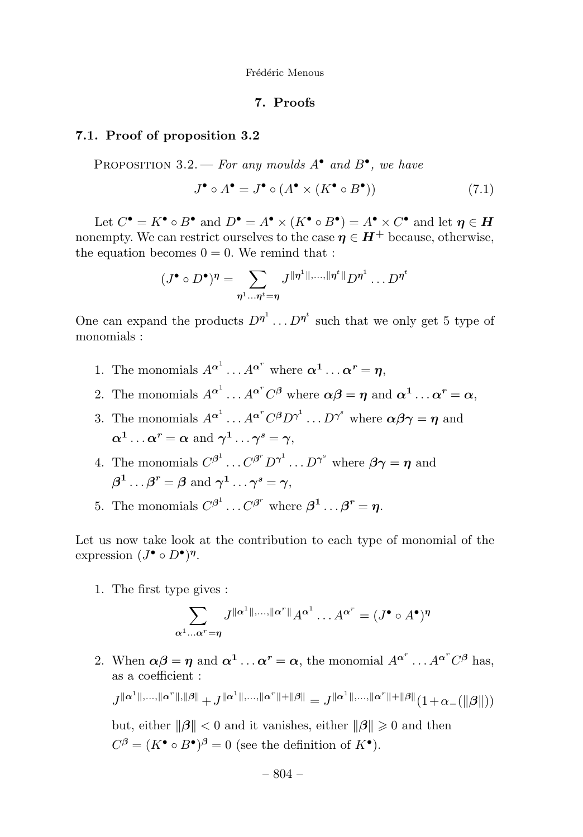#### **7. Proofs**

#### **7.1. Proof of proposition 3.2**

PROPOSITION 3.2. — For any moulds  $A^{\bullet}$  and  $B^{\bullet}$ , we have

$$
J^{\bullet} \circ A^{\bullet} = J^{\bullet} \circ (A^{\bullet} \times (K^{\bullet} \circ B^{\bullet})) \tag{7.1}
$$

Let  $C^{\bullet} = K^{\bullet} \circ B^{\bullet}$  and  $D^{\bullet} = A^{\bullet} \times (K^{\bullet} \circ B^{\bullet}) = A^{\bullet} \times C^{\bullet}$  and let  $n \in H$ nonempty. We can restrict ourselves to the case  $\eta \in H^+$  because, otherwise, the equation becomes  $0 = 0$ . We remind that :

$$
(J^{\bullet} \circ D^{\bullet})^{\eta} = \sum_{\eta^{1} \dots \eta^{t} = \eta} J^{\|\eta^{1}\|,\dots,\|\eta^{t}\|} D^{\eta^{1}} \dots D^{\eta^{t}}
$$

One can expand the products  $D^{\eta^1} \dots D^{\eta^t}$  such that we only get 5 type of monomials :

- 1. The monomials  $A^{\alpha^1} \dots A^{\alpha^r}$  where  $\alpha^1 \dots \alpha^r = \eta$ ,
- 2. The monomials  $A^{\alpha^1} \dots A^{\alpha^r} C^{\beta}$  where  $\alpha \beta = \eta$  and  $\alpha^1 \dots \alpha^r = \alpha$ ,
- 3. The monomials  $A^{\alpha^1} \dots A^{\alpha^r} C^{\beta} D^{\gamma^1} \dots D^{\gamma^s}$  where  $\alpha \beta \gamma = \eta$  and  $\alpha^1 \dots \alpha^r = \alpha$  and  $\gamma^1 \dots \gamma^s = \gamma$ ,
- 4. The monomials  $C^{\beta^1} \dots C^{\beta^r} D^{\gamma^1} \dots D^{\gamma^s}$  where  $\beta \gamma = \eta$  and  $\beta^1 \ldots \beta^r = \beta$  and  $\gamma^1 \ldots \gamma^s = \gamma$ ,
- 5. The monomials  $C^{\beta^1} \dots C^{\beta^r}$  where  $\beta^1 \dots \beta^r = \eta$ .

Let us now take look at the contribution to each type of monomial of the expression  $(J^{\bullet} \circ D^{\bullet})^{\eta}$ .

1. The first type gives :

$$
\sum_{\alpha^1 \dots \alpha^r = \eta} J^{\|\alpha^1\|,\dots,\|\alpha^r\|} A^{\alpha^1} \dots A^{\alpha^r} = (J^{\bullet} \circ A^{\bullet})^{\eta}
$$

2. When  $\alpha\beta = \eta$  and  $\alpha^1 \dots \alpha^r = \alpha$ , the monomial  $A^{\alpha^r} \dots A^{\alpha^r} C^{\beta}$  has, as a coefficient :

$$
J^{\|\alpha^1\|,\ldots,\|\alpha^r\|,\|\beta\|} + J^{\|\alpha^1\|,\ldots,\|\alpha^r\|+\|\beta\|} = J^{\|\alpha^1\|,\ldots,\|\alpha^r\|+\|\beta\|} \big(1+\alpha_{-}\big(\|\beta\|\big)\big)
$$

but, either  $\|\beta\| < 0$  and it vanishes, either  $\|\beta\| \geq 0$  and then  $C^{\beta} = (K^{\bullet} \circ B^{\bullet})^{\beta} = 0$  (see the definition of  $K^{\bullet}$ ).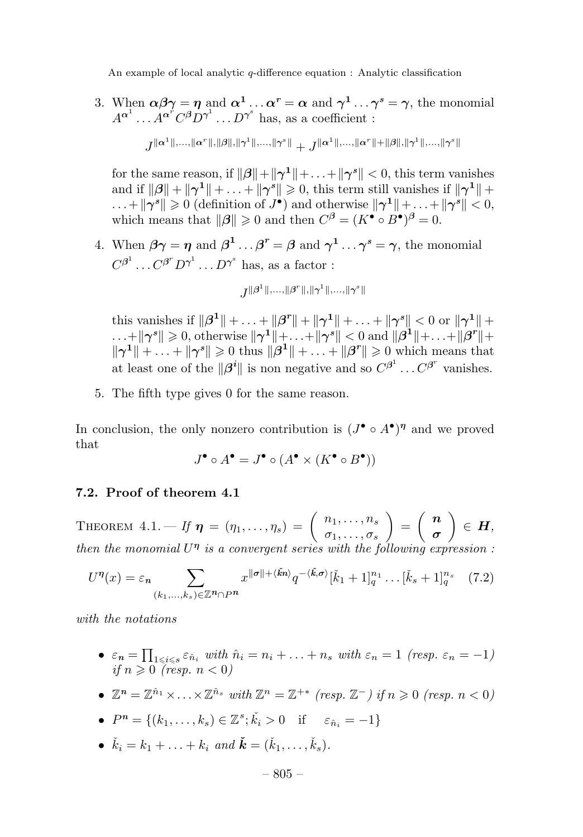3. When  $\alpha\beta\gamma = \eta$  and  $\alpha^1 \dots \alpha^r = \alpha$  and  $\gamma^1 \dots \gamma^s = \gamma$ , the monomial  $A^{\alpha^1} \dots A^{\alpha^r} C^{\beta} D^{\gamma^1} \dots D^{\gamma^s}$  has, as a coefficient :

$$
J^{\|\alpha^1\|,\ldots,\|\alpha^r\|,\|\beta\|,\|\gamma^1\|,\ldots,\|\gamma^s\|}+J^{\|\alpha^1\|,\ldots,\|\alpha^r\|+\|\beta\|,\|\gamma^1\|,\ldots,\|\gamma^s\|}
$$

for the same reason, if  $\|\boldsymbol{\beta}\| + \|\boldsymbol{\gamma}^1\| + \ldots + \|\boldsymbol{\gamma}^s\| < 0$ , this term vanishes and if  $\|\beta\| + \|\gamma^1\| + \ldots + \|\gamma^s\| \geq 0$ , this term still vanishes if  $\|\gamma^1\|$  +  $\dots + ||\gamma^{s}|| \geq 0$  (definition of  $J^{\bullet}$ ) and otherwise  $||\gamma^{1}|| + \dots + ||\gamma^{s}|| < 0$ , which means that  $\|\boldsymbol{\beta}\| \geq 0$  and then  $C^{\beta} = (K^{\bullet} \circ B^{\bullet})^{\beta} = 0$ .

4. When  $\beta \gamma = \eta$  and  $\beta^1 \dots \beta^r = \beta$  and  $\gamma^1 \dots \gamma^s = \gamma$ , the monomial  $C^{\beta^1} \dots C^{\beta^r} D^{\gamma^1} \dots D^{\gamma^s}$  has, as a factor :

$$
J^{\|\bm{\beta}^1\|, \ldots, \|\bm{\beta}^r\|, \|\bm{\gamma}^1\|, \ldots, \|\bm{\gamma}^s\|}
$$

this vanishes if  $\|\beta^1\| + \ldots + \|\beta^r\| + \|\gamma^1\| + \ldots + \|\gamma^s\| < 0$  or  $\|\gamma^1\| +$  $\dots+$   $\|\boldsymbol{\gamma}^s\|\geqslant 0,$  otherwise  $\|\boldsymbol{\gamma}^1\|+\dots+\|\boldsymbol{\gamma}^s\|< 0$  and  $\|\boldsymbol{\beta}^1\|+\dots+\|\boldsymbol{\beta}^r\|+$  $\|\gamma^1\| + \ldots + \|\gamma^s\| \geqslant 0$  thus  $\|\beta^1\| + \ldots + \|\beta^r\| \geqslant 0$  which means that at least one of the  $\|\beta^i\|$  is non negative and so  $C^{\beta^1} \dots C^{\beta^r}$  vanishes.

5. The fifth type gives 0 for the same reason.

In conclusion, the only nonzero contribution is  $(J^{\bullet} \circ A^{\bullet})^{\eta}$  and we proved that

$$
J^{\bullet} \circ A^{\bullet} = J^{\bullet} \circ (A^{\bullet} \times (K^{\bullet} \circ B^{\bullet}))
$$

#### **7.2. Proof of theorem 4.1**

THEOREM  $4.1.$  *If*  $\boldsymbol{\eta} = (\eta_1, \ldots, \eta_s) = \begin{pmatrix} n_1, \ldots, n_s \\ \sigma_1, \ldots, \sigma_s \end{pmatrix}$  $\bigg) = \bigg( \begin{array}{c} n \\ - \end{array} \bigg)$ *σ*  $\Big) \in H,$ then the monomial  $U^{\eta}$  is a convergent series with the following expression :

$$
U^{\eta}(x) = \varepsilon_n \sum_{(k_1,\ldots,k_s)\in\mathbb{Z}^n\cap P^n} x^{\|\sigma\|+\langle\check{k}n\rangle} q^{-\langle\check{k},\sigma\rangle} [\check{k}_1+1]_q^{n_1}\ldots[\check{k}_s+1]_q^{n_s} \quad (7.2)
$$

with the notations

- $\varepsilon_n = \prod_{1 \leq i \leq s} \varepsilon_{\hat{n}_i}$  with  $\hat{n}_i = n_i + \ldots + n_s$  with  $\varepsilon_n = 1$  (resp.  $\varepsilon_n = -1$ )  $if n \geqslant 0$  (resp.  $n < 0$ )
- $\bullet \mathbb{Z}^n = \mathbb{Z}^{\hat{n}_1} \times \ldots \times \mathbb{Z}^{\hat{n}_s}$  with  $\mathbb{Z}^n = \mathbb{Z}^{+*}$  (resp.  $\mathbb{Z}^-$ ) if  $n \geq 0$  (resp.  $n < 0$ )
- $P^n = \{(k_1, ..., k_s) \in \mathbb{Z}^s; \check{k}_i > 0 \text{ if } \varepsilon_{\hat{n}_i} = -1\}$
- $\check{k}_i = k_1 + \ldots + k_i \text{ and } \check{k} = (\check{k}_1, \ldots, \check{k}_s).$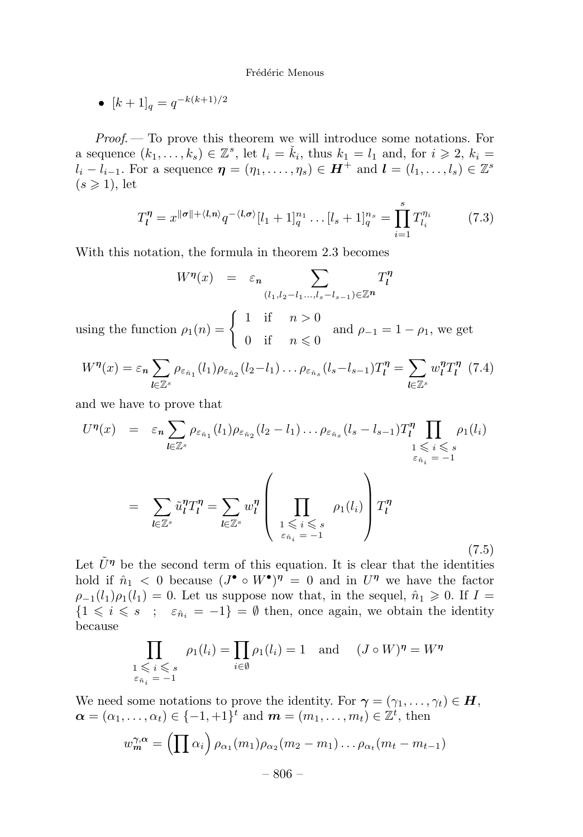• 
$$
[k+1]_q = q^{-k(k+1)/2}
$$

Proof. — To prove this theorem we will introduce some notations. For a sequence  $(k_1, \ldots, k_s) \in \mathbb{Z}^s$ , let  $l_i = \check{k}_i$ , thus  $k_1 = l_1$  and, for  $i \geqslant 2$ ,  $k_i =$  $l_i - l_{i-1}$ . For a sequence  $\boldsymbol{\eta} = (\eta_1, \ldots, \eta_s) \in \boldsymbol{H}^+$  and  $\boldsymbol{l} = (l_1, \ldots, l_s) \in \mathbb{Z}^s$  $(s \geqslant 1)$ , let

$$
T_l^{\eta} = x^{\|\sigma\| + \langle l, n \rangle} q^{-\langle l, \sigma \rangle} [l_1 + 1]_q^{n_1} \dots [l_s + 1]_q^{n_s} = \prod_{i=1}^s T_{l_i}^{\eta_i} \tag{7.3}
$$

With this notation, the formula in theorem 2.3 becomes

$$
W^{\eta}(x) = \varepsilon_n \sum_{(l_1, l_2 - l_1, \ldots, l_s - l_{s-1}) \in \mathbb{Z}^n} T_l^{\eta}
$$

using the function  $\rho_1(n) = \begin{cases} 1 & \text{if } n > 0 \\ 0 & \text{if } n \neq 0 \end{cases}$ 0 if  $n \leq 0$ and  $\rho_{-1} = 1 - \rho_1$ , we get

$$
W^{\eta}(x) = \varepsilon_n \sum_{l \in \mathbb{Z}^s} \rho_{\varepsilon_{\hat{n}_1}}(l_1) \rho_{\varepsilon_{\hat{n}_2}}(l_2 - l_1) \dots \rho_{\varepsilon_{\hat{n}_s}}(l_s - l_{s-1}) T_l^{\eta} = \sum_{l \in \mathbb{Z}^s} w_l^{\eta} T_l^{\eta} \tag{7.4}
$$

and we have to prove that

$$
U^{\eta}(x) = \varepsilon_n \sum_{l \in \mathbb{Z}^s} \rho_{\varepsilon_{\hat{n}_1}}(l_1) \rho_{\varepsilon_{\hat{n}_2}}(l_2 - l_1) \dots \rho_{\varepsilon_{\hat{n}_s}}(l_s - l_{s-1}) T_l^{\eta} \prod_{1 \leqslant i \leqslant s} \rho_1(l_i)
$$

$$
= \sum_{l \in \mathbb{Z}^s} \tilde{u}_l^{\eta} T_l^{\eta} = \sum_{l \in \mathbb{Z}^s} w_l^{\eta} \left( \prod_{\substack{1 \leqslant i \leqslant s \\ \varepsilon_{\hat{n}_i} = -1}} \rho_1(l_i) \right) T_l^{\eta}
$$
(7.5)

Let  $U^{\eta}$  be the second term of this equation. It is clear that the identities hold if  $\hat{n}_1 < 0$  because  $(J^{\bullet} \circ W^{\bullet})^{\eta} = 0$  and in  $U^{\eta}$  we have the factor  $\rho_{-1}(l_1)\rho_1(l_1) = 0$ . Let us suppose now that, in the sequel,  $\hat{n}_1 \geqslant 0$ . If  $I =$  ${1 \leq i \leq s \; ; \; \varepsilon_{\hat{n}_i} = -1} = \emptyset$  then, once again, we obtain the identity because

$$
\prod_{\substack{1 \leq i \leq s \\ \varepsilon_{\hat{n}_i} = -1}} \rho_1(l_i) = \prod_{i \in \emptyset} \rho_1(l_i) = 1 \text{ and } (J \circ W)^{\eta} = W^{\eta}
$$

We need some notations to prove the identity. For  $\gamma = (\gamma_1, \ldots, \gamma_t) \in H$ ,  $\boldsymbol{\alpha} = (\alpha_1, \ldots, \alpha_t) \in \{-1, +1\}^t$  and  $\boldsymbol{m} = (m_1, \ldots, m_t) \in \mathbb{Z}^t$ , then

$$
w_m^{\gamma,\alpha} = \left(\prod \alpha_i\right) \rho_{\alpha_1}(m_1) \rho_{\alpha_2}(m_2 - m_1) \ldots \rho_{\alpha_t}(m_t - m_{t-1})
$$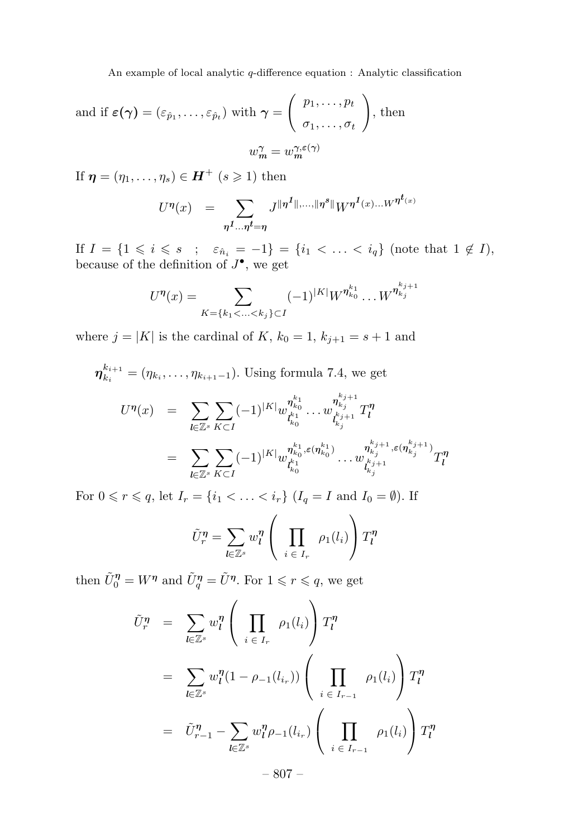and if  $\varepsilon(\boldsymbol{\gamma}) = (\varepsilon_{\hat{p}_1}, \dots, \varepsilon_{\hat{p}_t})$  with  $\boldsymbol{\gamma} =$  $\int p_1,\ldots,p_t$  $\sigma_1, \ldots, \sigma_t$  $\setminus$ , then  $w_m^{\gamma} = w_m^{\gamma, \varepsilon(\gamma)}$ 

If  $\eta = (\eta_1, \ldots, \eta_s) \in H^+$  ( $s \geq 1$ ) then

$$
U^{\eta}(x) = \sum_{\eta^{1}...\eta^{t}=\eta} J^{\|\eta^{1}\|,...\|\eta^{s}\|} W^{\eta^{1}(x)...W^{\eta^{t}(x)}}
$$

If  $I = \{1 \le i \le s \; ; \; \varepsilon_{\hat{n}_i} = -1\} = \{i_1 < \ldots < i_q\}$  (note that  $1 \notin I$ ), because of the definition of *J*•, we get

$$
U^{\eta}(x) = \sum_{K=\{k_1 < \ldots < k_j\} \subset I} (-1)^{|K|} W^{\eta_{k_0}^{k_1}} \ldots W^{\eta_{k_j}^{k_{j+1}}}
$$

where  $j = |K|$  is the cardinal of  $K$ ,  $k_0 = 1$ ,  $k_{j+1} = s + 1$  and

$$
\eta_{k_i}^{k_{i+1}} = (\eta_{k_i}, \dots, \eta_{k_{i+1}-1}). \text{ Using formula 7.4, we get}
$$
\n
$$
U^{\eta}(x) = \sum_{l \in \mathbb{Z}^s} \sum_{K \subset I} (-1)^{|K|} w_{l_{k_0}^{k_1}}^{n_{k_1}^{k_1}} \dots w_{l_{k_j}^{k_{j+1}}}^{n_{k_j}^{k_{j+1}} T_l^{\eta}
$$
\n
$$
= \sum_{l \in \mathbb{Z}^s} \sum_{K \subset I} (-1)^{|K|} w_{l_{k_0}^{k_1}}^{n_{k_0}^{k_1}} \dots w_{l_{k_j}^{k_{j+1}}^{k_{j+1}} \in (\eta_{k_j}^{k_{j+1}})}^{n_{k_j}^{k_{j+1}} T_l^{\eta}
$$

For  $0 \le r \le q$ , let  $I_r = \{i_1 < \ldots < i_r\}$   $(I_q = I \text{ and } I_0 = \emptyset)$ . If

$$
\tilde{U}_r^{\eta} = \sum_{l \in \mathbb{Z}^s} w_l^{\eta} \left( \prod_{i \in I_r} \rho_1(l_i) \right) T_l^{\eta}
$$

then  $\tilde{U}_0^{\eta} = W^{\eta}$  and  $\tilde{U}_q^{\eta} = \tilde{U}^{\eta}$ . For  $1 \leqslant r \leqslant q$ , we get

$$
\tilde{U}_r^\eta = \sum_{l \in \mathbb{Z}^s} w_l^\eta \left( \prod_{i \in I_r} \rho_1(l_i) \right) T_l^\eta
$$
\n
$$
= \sum_{l \in \mathbb{Z}^s} w_l^\eta (1 - \rho_{-1}(l_{i_r})) \left( \prod_{i \in I_{r-1}} \rho_1(l_i) \right) T_l^\eta
$$
\n
$$
= \tilde{U}_{r-1}^\eta - \sum_{l \in \mathbb{Z}^s} w_l^\eta \rho_{-1}(l_{i_r}) \left( \prod_{i \in I_{r-1}} \rho_1(l_i) \right) T_l^\eta
$$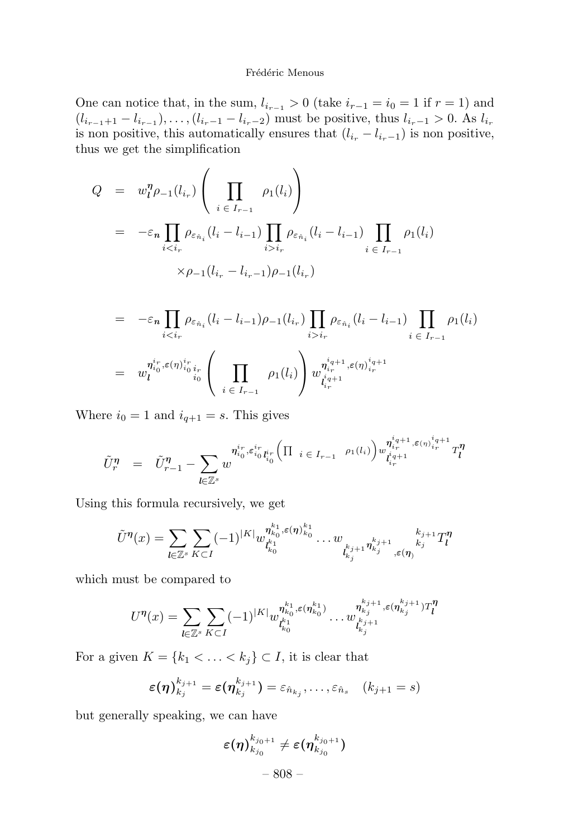One can notice that, in the sum,  $l_{i_{r-1}} > 0$  (take  $i_{r-1} = i_0 = 1$  if  $r = 1$ ) and  $(l_{i_{r-1}+1} - l_{i_{r-1}}), \ldots, (l_{i_{r}-1} - l_{i_{r}-2})$  must be positive, thus  $l_{i_{r}-1} > 0$ . As  $l_{i_{r}}$ is non positive, this automatically ensures that  $(l_{i_r} - l_{i_r-1})$  is non positive, thus we get the simplification

$$
Q = w_l^n \rho_{-1}(l_{i_r}) \left( \prod_{i \in I_{r-1}} \rho_1(l_i) \right)
$$
  
= 
$$
-\varepsilon_n \prod_{i < i_r} \rho_{\varepsilon_{\hat{n}_i}}(l_i - l_{i-1}) \prod_{i > i_r} \rho_{\varepsilon_{\hat{n}_i}}(l_i - l_{i-1}) \prod_{i \in I_{r-1}} \rho_1(l_i)
$$
  

$$
\times \rho_{-1}(l_{i_r} - l_{i_r-1}) \rho_{-1}(l_{i_r})
$$

$$
= -\varepsilon_n \prod_{i < i_r} \rho_{\varepsilon_{\hat{n}_i}} (l_i - l_{i-1}) \rho_{-1}(l_{i_r}) \prod_{i > i_r} \rho_{\varepsilon_{\hat{n}_i}} (l_i - l_{i-1}) \prod_{i < I_{r-1}} \rho_1(l_i)
$$
\n
$$
= w_l^{\eta_{i_0}^{i_r} \varepsilon(\eta)_{i_0}^{i_r} i_r} \left( \prod_{i < I_{r-1}} \rho_1(l_i) \right) w_{l_{i_r}^{i_q+1}, \varepsilon(\eta)_{i_r}^{i_q+1}}^{\eta_{i_q+1}^{i_q+1}, \varepsilon(\eta)_{i_r}^{i_q+1}}
$$

Where  $i_0 = 1$  and  $i_{q+1} = s$ . This gives

$$
\tilde{U}_r^{\eta} \hspace{2mm} = \hspace{2mm} \tilde{U}_{r-1}^{\eta} - \sum_{l \in \mathbb{Z}^s} w^{n_{i_0}^i, \varepsilon_{i_0}^{i_r} t_{i_0}^i} \hspace{-2mm} \left( \Pi_{i \hspace{2mm} \in \hspace{2mm} I_{r-1}} \hspace{2mm} \right. \\ \left. \rho_1(l_i) \right) \hspace{0.5mm} w_{l_i^{i_q+1}}^{n_{i_q+1}^{i_q+1}, \varepsilon(n)_{i_r}^{i_q+1}} T_l^{\eta}
$$

Using this formula recursively, we get

$$
\tilde{U}^{\eta}(x) = \sum_{l \in \mathbb{Z}^s} \sum_{K \subset I} (-1)^{|K|} w_{t_{k_0}^{k_1}, \varepsilon(\eta)_{k_0}^{k_1}}^{\eta_{k_0}^{k_1}, \varepsilon(\eta)_{k_0}^{k_1}} \dots w_{t_{k_j}^{k_{j+1}} \eta_{k_j}^{k_{j+1}} \dots k_j^{k_j}}^{\eta_{k_j+1}^{k_j}} T_l^{\eta}
$$

which must be compared to

$$
U^{\eta}(x)=\sum_{\mathit{l}\in\mathbb{Z}^s}\sum_{K\subset I}(-1)^{|K|}w^{\eta_{k_0}^{k_1},\varepsilon(\eta_{k_0}^{k_1})}_{l_{k_0}^{k_1}}\ldots w^{\eta_{k_j}^{k_{j}+1},\varepsilon(\eta_{k_j}^{k_j+1})T^{\eta}_{\mathit{l}}}_{{l_{k_j}^{k_{j}+1}}}
$$

For a given  $K = \{k_1 < \ldots < k_j\} \subset I$ , it is clear that

$$
\varepsilon(\boldsymbol{\eta})_{k_{j}}^{k_{j+1}} = \varepsilon(\boldsymbol{\eta}_{k_{j}}^{k_{j+1}}) = \varepsilon_{\hat{n}_{k_{j}}}, \ldots, \varepsilon_{\hat{n}_{s}} \quad (k_{j+1} = s)
$$

but generally speaking, we can have

$$
\varepsilon(\eta)_{k_{j_0}}^{k_{j_0+1}}\neq \varepsilon(\eta_{k_{j_0}}^{k_{j_0+1}})
$$

– 808 –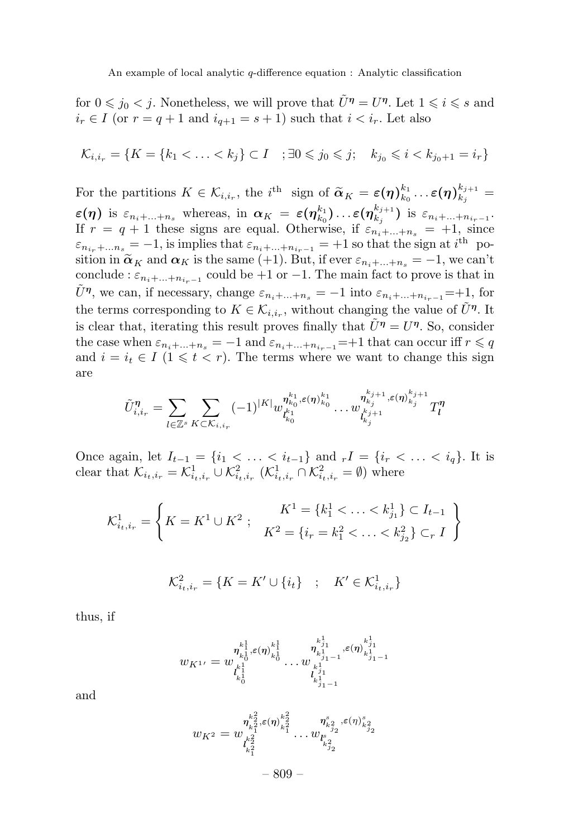for  $0 \leq j_0 < j$ . Nonetheless, we will prove that  $\tilde{U}^{\eta} = U^{\eta}$ . Let  $1 \leq i \leq s$  and  $i_r \in I$  (or  $r = q + 1$  and  $i_{q+1} = s + 1$ ) such that  $i < i_r$ . Let also

$$
\mathcal{K}_{i,i_r} = \{ K = \{ k_1 < \ldots < k_j \} \subset I \quad ; \exists 0 \leq j_0 \leq j; \quad k_{j_0} \leq i < k_{j_0+1} = i_r \}
$$

For the partitions  $K \in \mathcal{K}_{i,i_r}$ , the *i*<sup>th</sup> sign of  $\widetilde{\alpha}_K = \varepsilon(\eta)_{k_0}^{k_1} \cdots \varepsilon(\eta)_{k_j}^{k_{j+1}} =$  $\varepsilon(\eta)$  is  $\varepsilon_{n_i+\ldots+n_s}$  whereas, in  $\alpha_K = \varepsilon(\eta_{k_0}^{k_1})\ldots\varepsilon(\eta_{k_j}^{k_{j+1}})$  is  $\varepsilon_{n_i+\ldots+n_{i_r-1}}$ . If  $r = q + 1$  these signs are equal. Otherwise, if  $\varepsilon_{n_i + \dots + n_s} = +1$ , since  $\varepsilon_{n_{i_r}+\dots n_s} = -1$ , is implies that  $\varepsilon_{n_i+\dots+n_{i_r-1}} = +1$  so that the sign at *i*<sup>th</sup> position in  $\tilde{\alpha}_K$  and  $\alpha_K$  is the same (+1). But, if ever  $\varepsilon_{n_i+\dots+n_s} = -1$ , we can't conclude :  $\varepsilon_{n_{i}+\dots+n_{i_{n}-1}}$  could be +1 or -1. The main fact to prove is that in  $\tilde{U}^{\eta}$ , we can, if necessary, change  $\varepsilon_{n_i+\dots+n_s} = -1$  into  $\varepsilon_{n_i+\dots+n_{i_r-1}} = +1$ , for the terms corresponding to  $K \in \mathcal{K}_{i,i_r}$ , without changing the value of  $\tilde{U}^{\eta}$ . It is clear that, iterating this result proves finally that  $\tilde{U}^{\eta} = U^{\eta}$ . So, consider the case when  $\varepsilon_{n_i+\dots+n_s} = -1$  and  $\varepsilon_{n_i+\dots+n_{i_r-1}} = +1$  that can occur iff  $r \leq q$ and  $i = i_t \in I$  ( $1 \leq t < r$ ). The terms where we want to change this sign are

$$
\tilde{U}_{i,i_r}^{\eta} = \sum_{l \in \mathbb{Z}^s} \sum_{K \subset \mathcal{K}_{i,i_r}} (-1)^{|K|} w_{l_{k_0}^{k_1}}^{n_{k_0}^{k_1}, \varepsilon(\eta)_{k_0}^{k_1}} \dots w_{l_{k_j}^{k_{j+1}}^{k_{j+1}}},\varepsilon(\eta)_{k_j}^{k_{j+1}} T_l^{\eta}
$$

Once again, let  $I_{t-1} = \{i_1 < \ldots < i_{t-1}\}\$ and  $rI = \{i_r < \ldots < i_q\}$ . It is clear that  $\mathcal{K}_{i_t,i_r} = \mathcal{K}_{i_t,i_r}^1 \cup \mathcal{K}_{i_t,i_r}^2$  ( $\mathcal{K}_{i_t,i_r}^1 \cap \mathcal{K}_{i_t,i_r}^2 = \emptyset$ ) where

$$
\mathcal{K}_{i_t, i_r}^1 = \left\{ K = K^1 \cup K^2 ; \begin{array}{c} K^1 = \{k_1^1 < \ldots < k_{j_1}^1\} \subset I_{t-1} \\ K^2 = \{i_r = k_1^2 < \ldots < k_{j_2}^2\} \subset_r I \end{array} \right\}
$$

$$
\mathcal{K}_{i_t, i_r}^2 = \{ K = K' \cup \{ i_t \} \ ; \ K' \in \mathcal{K}_{i_t, i_r}^1 \}
$$

thus, if

$$
w_{K^{1\prime}}=w_{k_{0}^{1}\atop k_{0}^{1}\atop k_{0}^{1}}^{\eta_{k_{1}^{1}\atop k_{0}^{1}}^{k_{1}^{1}}\ldots \eta_{k_{j_{1}-1}^{1}\atop k_{j_{1}-1}^{1}}^{k_{j_{1}}^{1}}\ldots \epsilon(\eta)_{k_{j_{1}-1}^{1}\atop k_{j_{1}-1}^{1}\atop k_{j_{1}-1}^{1}}
$$

and

$$
w_{K^2} = w_{\substack{h_2^2 \ k_1^2 \\ k_2^2}}^{\eta_{k_2^2}^{k_2^2}, \varepsilon(\eta)_{k_1^2}^{k_2^2}} \dots w_{\substack{h_{k_{j_2}}^2 \\ k_{j_2}^2}}^{\eta_{k_{j_2}^2}^{s}} \dots w_{\substack{h_{k_{j_2}}^2 \\ k_{j_2}^2}}^{\eta_{k_{j_2}^2}^{s}} \dots \eta_{\substack{k_{j_{\ell}}^2 \\ k_{j_{\ell}}^2}}
$$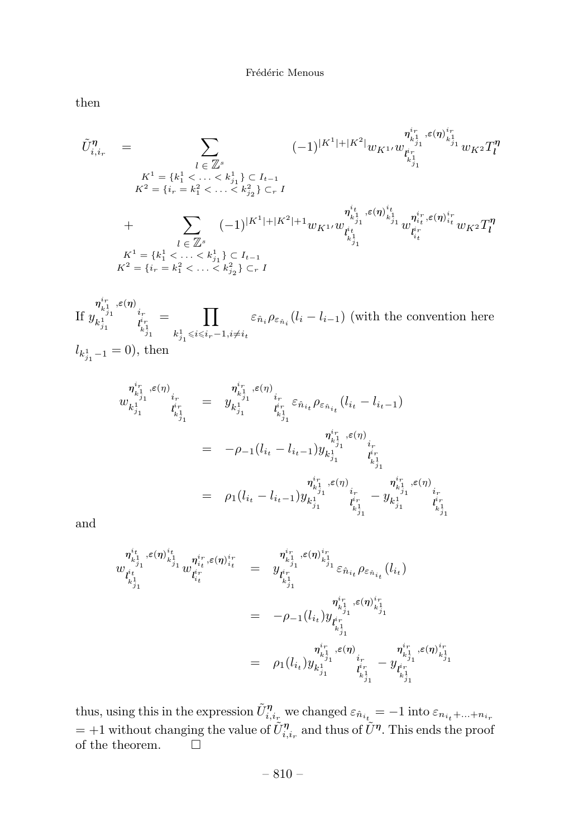then

*U*˜ *η i,i<sup>r</sup>* <sup>=</sup> *<sup>l</sup>* <sup>∈</sup> Z*<sup>s</sup> K*<sup>1</sup> = {*k*<sup>1</sup> <sup>1</sup> *< ...< k*<sup>1</sup> *<sup>j</sup>*<sup>1</sup> } ⊂ *<sup>I</sup>t*−<sup>1</sup> *K*<sup>2</sup> = {*i<sup>r</sup>* = *k*<sup>2</sup> <sup>1</sup> *< ...< k*<sup>2</sup> *<sup>j</sup>*<sup>2</sup> } ⊂*<sup>r</sup> <sup>I</sup>* (−1)|*K*1|+|*K*2<sup>|</sup> *wK*1*w ηir ,ε*(*η*) *ir k*1 *j*1 *k*1 *j*1 *l ir k*1 *j*1 *wK*<sup>2</sup> *T <sup>η</sup> l* + *<sup>l</sup>* <sup>∈</sup> Z*<sup>s</sup> K*<sup>1</sup> = {*k*<sup>1</sup> <sup>1</sup> *< ...< k*<sup>1</sup> *<sup>j</sup>*<sup>1</sup> } ⊂ *<sup>I</sup>t*−<sup>1</sup> *K*<sup>2</sup> = {*i<sup>r</sup>* = *k*<sup>2</sup> <sup>1</sup> *< ...< k*<sup>2</sup> *<sup>j</sup>*<sup>2</sup> } ⊂*<sup>r</sup> <sup>I</sup>* (−1)|*K*1|+|*K*2|+1*wK*1*w ηit k*1 *j*1 *,ε*(*η*) *it k*1 *j*1 *l it k*1 *j*1 *w ηir it ,ε*(*η*) *ir it l ir it wK*<sup>2</sup> *T <sup>η</sup> l*

If 
$$
y_{k_{j_1}^1}^{i_{k_1^1}^*}, \epsilon(\eta)_{i_r}^{i_r} = \prod_{k_{j_1}^1 \leq i \leq i_r-1, i \neq i_t} \varepsilon_{\hat{n}_i} \rho_{\varepsilon_{\hat{n}_i}}(l_i - l_{i-1})
$$
 (with the convention here  $l_{k_{j_1}^1 - 1} = 0$ ), then

$$
\begin{array}{rcl}\nn_{k_{j_1}^1}^{i_r}, \epsilon(\eta)_{i_r} & = & n_{k_{j_1}^1}^{i_r}, \epsilon(\eta)_{i_r} \\
w_{k_{j_1}^1}^{1} & i_{k_{j_1}^1}^{i_r} & = & y_{k_{j_1}^1}^{i_r}, \epsilon_{\hat{n}_{i_t}} \rho_{\varepsilon_{\hat{n}_{i_t}}} (l_{i_t} - l_{i_{t-1}}) \\
& = & -\rho_{-1} (l_{i_t} - l_{i_{t-1}}) y_{k_{j_1}^1}^{i_r}, \epsilon(\eta)_{i_r^1} \\
& = & -\rho_{-1} (l_{i_t} - l_{i_{t-1}}) y_{k_{j_1}^1}^{i_r}, \epsilon(\eta)_{i_r^1}^{i_r} \\
& = & \rho_1 (l_{i_t} - l_{i_{t-1}}) y_{k_{j_1}^1}^{i_r}, \epsilon(\eta)_{i_r^1}^{i_r} - y_{k_{j_1}^1}^{i_r}, \epsilon(\eta)_{i_r^1}^{i_r} \\
& = & \rho_1 (l_{i_t} - l_{i_{t-1}}) y_{k_{j_1}^1}^{i_r} & i_{k_{j_1}^1}^{i_r} & i_{k_{j_1}^1}^{i_r} \\
& & & i_{k_{j_1}^1}^{i_r} \\
\end{array}
$$

and

$$
\begin{array}{rcl}\n\eta_{\vec{k}^1_{j_1}}^{i_t}, \varepsilon(\eta)_{\vec{k}^1_{j_1}}^{i_t} & \eta_{i_t}^{i_r}, \varepsilon(\eta)_{i_t}^{i_r} \\
w_{\vec{l}^i_{j_1}}^{i_t} & w_{\vec{l}^i_t}^{i_r} \\
\vdots & \vdots & \vdots \\
\eta_{\vec{k}^1_{j_1}}^{i_t} & \varepsilon(\eta)_{i_t}^{i_r} \\
\vdots & \vdots \\
\eta_{\vec{k}^1_{j_1}}^{i_t} & \varepsilon(\eta)_{i_t}^{i_t} \\
\vdots & \vdots \\
\eta_{\vec{k}^1_{j_1}}^{i_r}, \varepsilon(\eta)_{i_t}^{i_t} \\
\vdots & \vdots \\
\eta_{\vec{k}^1_{j_1}}^{i_r}, \varepsilon(\eta)_{i_t}^{i_t} \\
\vdots & \vdots \\
\eta_{\vec{k}^1_{j_1}}^{i_r}, \varepsilon(\eta)_{i_t}^{i_t} \\
\vdots & \vdots \\
\eta_{\vec{k}^1_{j_1}}^{i_r}, \varepsilon(\eta)_{i_t}^{i_t} \\
\vdots & \vdots \\
\eta_{\vec{k}^1_{j_1}}^{i_r}, \varepsilon(\eta)_{i_t}^{i_t} \\
\vdots & \vdots \\
\eta_{\vec{k}^1_{j_1}}^{i_r} & \eta_{\vec{k}^1_{j_1}}^{i_r} \\
\vdots & \vdots \\
\eta_{\vec{k}^1_{j_1}}^{i_r} & \eta_{\vec{k}^1_{j_1}}^{i_r} \\
\vdots & \vdots \\
\eta_{\vec{k}^1_{j_1}}^{i_r} & \eta_{\vec{k}^1_{j_1}}^{i_r} \\
\vdots & \vdots \\
\eta_{\vec{k}^1_{j_1}}^{i_r} & \eta_{\vec{k}^1_{j_1}}^{i_r} \\
\end{array}
$$

thus, using this in the expression  $\tilde{U}_{i,i_r}^{\eta}$  we changed  $\varepsilon_{\hat{n}_{i_t}} = -1$  into  $\varepsilon_{n_{i_t}+\dots+n_{i_r}}$  $= +1$  without changing the value of  $\tilde{U}_{i,i_r}^{\eta}$  and thus of  $\tilde{U}^{\eta}$ . This ends the proof of the theorem.  $\hfill \Box$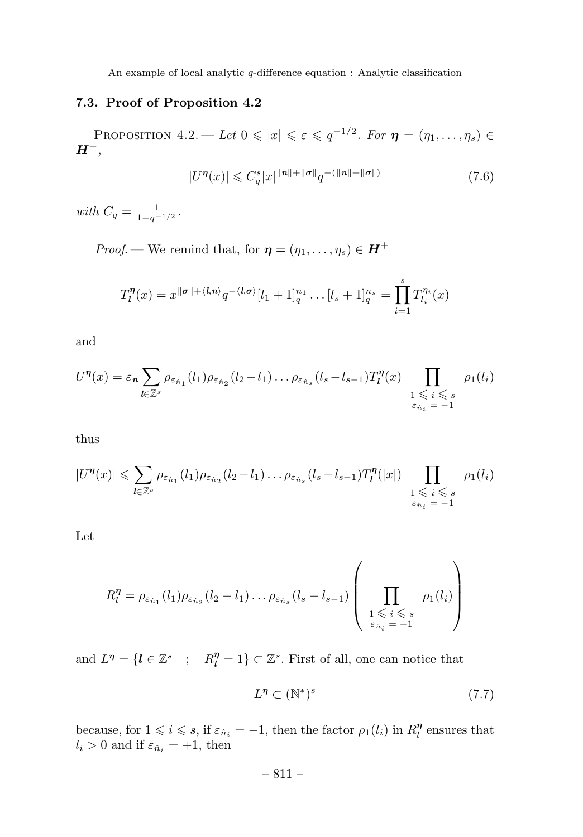# **7.3. Proof of Proposition 4.2**

PROPOSITION  $4.2$ . — Let  $0 \leq x \leq \epsilon \leq q^{-1/2}$ . For  $\eta = (\eta_1, \ldots, \eta_s) \in$  $H^+,$ 

$$
|U^{\eta}(x)| \leqslant C_q^s |x|^{\|n\| + \| \sigma \|} q^{-(\|n\| + \| \sigma \|)} \tag{7.6}
$$

 $with C_q = \frac{1}{1 - q^{-1/2}}.$ 

*Proof.* — We remind that, for  $\boldsymbol{\eta} = (\eta_1, \dots, \eta_s) \in \boldsymbol{H}^+$ 

$$
T_l^{\eta}(x) = x^{\|\sigma\| + \langle l, n \rangle} q^{-\langle l, \sigma \rangle} [l_1 + 1]_q^{n_1} \dots [l_s + 1]_q^{n_s} = \prod_{i=1}^s T_{l_i}^{\eta_i}(x)
$$

and

$$
U^{\eta}(x) = \varepsilon_n \sum_{l \in \mathbb{Z}^s} \rho_{\varepsilon_{\hat{n}_1}}(l_1) \rho_{\varepsilon_{\hat{n}_2}}(l_2 - l_1) \dots \rho_{\varepsilon_{\hat{n}_s}}(l_s - l_{s-1}) T_l^{\eta}(x) \prod_{\substack{1 \leqslant i \leqslant s \\ \varepsilon_{\hat{n}_i} = -1}} \rho_1(l_i)
$$

thus

$$
|U^{\eta}(x)| \leqslant \sum_{l \in \mathbb{Z}^s} \rho_{\varepsilon_{\hat{n}_1}}(l_1) \rho_{\varepsilon_{\hat{n}_2}}(l_2 - l_1) \dots \rho_{\varepsilon_{\hat{n}_s}}(l_s - l_{s-1}) T_l^{\eta}(|x|) \prod_{\substack{1 \leqslant i \leqslant s \\ \varepsilon_{\hat{n}_i} = -1}} \rho_1(l_i)
$$

Let

$$
R_l^{\eta} = \rho_{\varepsilon_{\hat{n}_1}}(l_1)\rho_{\varepsilon_{\hat{n}_2}}(l_2 - l_1)\dots\rho_{\varepsilon_{\hat{n}_s}}(l_s - l_{s-1})\left(\prod_{\substack{1 \leqslant i \leqslant s \\ \varepsilon_{\hat{n}_i} = -1}} \rho_1(l_i)\right)
$$

and  $L^{\eta} = \{l \in \mathbb{Z}^s \; : \; R_l^{\eta} = 1\} \subset \mathbb{Z}^s$ . First of all, one can notice that

$$
L^{\eta} \subset (\mathbb{N}^*)^s \tag{7.7}
$$

because, for  $1 \leq i \leq s$ , if  $\varepsilon_{\hat{n}_i} = -1$ , then the factor  $\rho_1(l_i)$  in  $R_l^{\eta}$  ensures that  $l_i > 0$  and if  $\varepsilon_{\hat{n}_i} = +1$ , then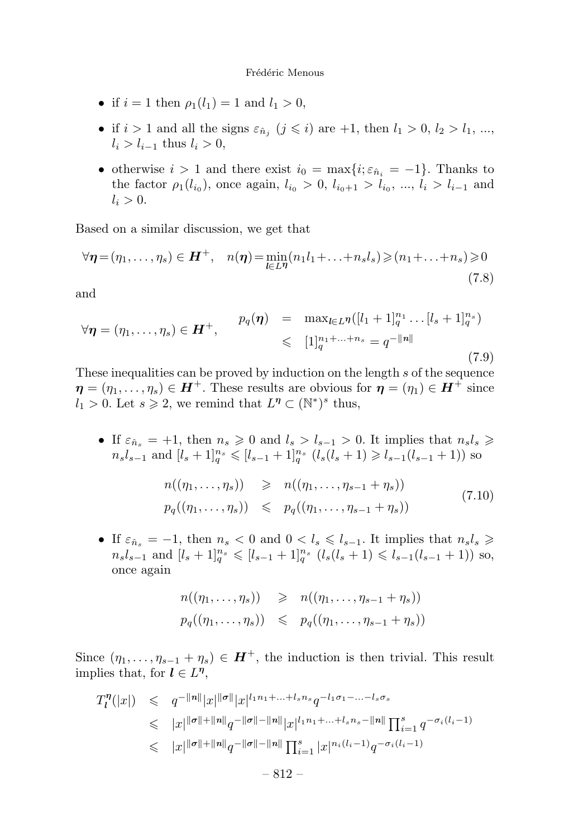- if  $i = 1$  then  $\rho_1(l_1) = 1$  and  $l_1 > 0$ ,
- if  $i > 1$  and all the signs  $\varepsilon_{\hat{n}_i}$  ( $j \leq i$ ) are +1, then  $l_1 > 0$ ,  $l_2 > l_1$ , ...,  $l_i > l_{i-1}$  thus  $l_i > 0$ ,
- otherwise  $i > 1$  and there exist  $i_0 = \max\{i; \varepsilon_{\hat{n}_i} = -1\}$ . Thanks to the factor  $\rho_1(l_{i_0})$ , once again,  $l_{i_0} > 0$ ,  $l_{i_0+1} > l_{i_0}$ , ...,  $l_i > l_{i-1}$  and  $l_i > 0$ .

Based on a similar discussion, we get that

$$
\forall \boldsymbol{\eta} = (\eta_1, \dots, \eta_s) \in \boldsymbol{H}^+, \quad n(\boldsymbol{\eta}) = \min_{l \in L^{\eta}} (n_1 l_1 + \dots + n_s l_s) \geqslant (n_1 + \dots + n_s) \geqslant 0 \tag{7.8}
$$

and

$$
\forall \eta = (\eta_1, \dots, \eta_s) \in \mathbf{H}^+, \qquad p_q(\eta) = \max_{l \in L^{\eta}} ([l_1 + 1]_q^{n_1} \dots [l_s + 1]_q^{n_s})
$$
  
\$\leq\$  $[1]_q^{n_1 + \dots + n_s} = q^{-||n||}$  (7.9)

These inequalities can be proved by induction on the length *s* of the sequence  $\eta = (\eta_1, \ldots, \eta_s) \in H^+$ . These results are obvious for  $\eta = (\eta_1) \in H^+$  since  $l_1 > 0$ . Let  $s \ge 2$ , we remind that  $L^{\eta} \subset (\mathbb{N}^*)^s$  thus,

• If  $\varepsilon_{\hat{n}_s} = +1$ , then  $n_s \geq 0$  and  $l_s > l_{s-1} > 0$ . It implies that  $n_s l_s \geq 0$  $n_s l_{s-1}$  and  $[l_s+1]_q^{n_s} \leq l_{s-1}+1]_q^{n_s}$   $(l_s(l_s+1) \geq l_{s-1}(l_{s-1}+1))$  so

$$
n((\eta_1, ..., \eta_s)) \geq n((\eta_1, ..., \eta_{s-1} + \eta_s))
$$
  
\n
$$
p_q((\eta_1, ..., \eta_s)) \leq p_q((\eta_1, ..., \eta_{s-1} + \eta_s))
$$
\n(7.10)

• If  $\varepsilon_{\hat{n}_s} = -1$ , then  $n_s < 0$  and  $0 < l_s \leqslant l_{s-1}$ . It implies that  $n_s l_s \geqslant$  $n_s l_{s-1}$  and  $[l_s+1]_q^{n_s} \leq l_{s-1}+1]_q^{n_s}$   $(l_s(l_s+1) \leq l_{s-1}(l_{s-1}+1))$  so, once again

$$
n((\eta_1,\ldots,\eta_s)) \geqslant n((\eta_1,\ldots,\eta_{s-1}+\eta_s))
$$
  

$$
p_q((\eta_1,\ldots,\eta_s)) \leqslant p_q((\eta_1,\ldots,\eta_{s-1}+\eta_s))
$$

Since  $(\eta_1, \ldots, \eta_{s-1} + \eta_s) \in \mathbf{H}^+$ , the induction is then trivial. This result implies that, for  $l \in L^{\eta}$ ,

$$
T_l^{\eta}(|x|) \leq q^{-||n||} |x|^{||\sigma||} |x|^{l_1 n_1 + \dots + l_s n_s} q^{-l_1 \sigma_1 - \dots - l_s \sigma_s}
$$
  
\n
$$
\leq |x|^{||\sigma|| + ||n||} q^{-||\sigma|| - ||n||} |x|^{l_1 n_1 + \dots + l_s n_s - ||n||} \prod_{i=1}^s q^{-\sigma_i(l_i-1)}
$$
  
\n
$$
\leq |x|^{||\sigma|| + ||n||} q^{-||\sigma|| - ||n||} \prod_{i=1}^s |x|^{n_i(l_i-1)} q^{-\sigma_i(l_i-1)}
$$
  
\n
$$
- 812 -
$$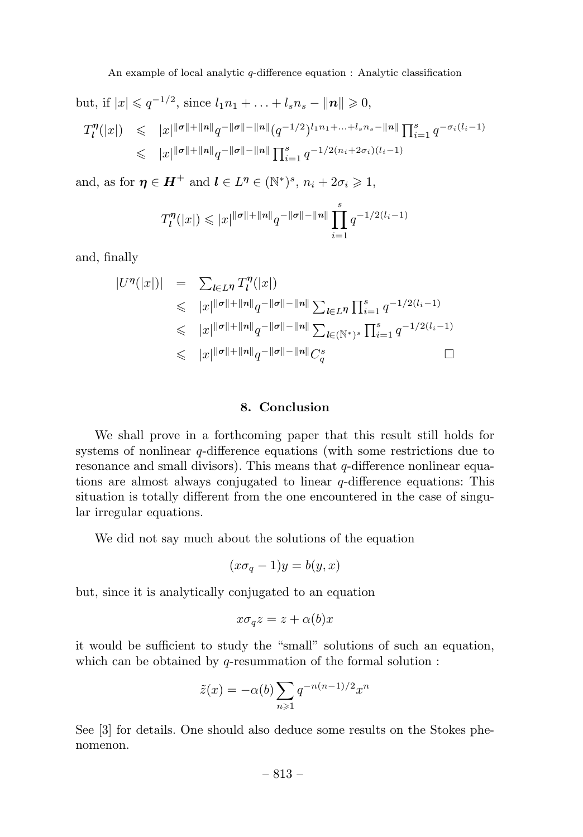$\text{but, if } |x| \leqslant q^{-1/2}, \text{ since } l_1 n_1 + \ldots + l_s n_s - ||n|| \geqslant 0,$ 

$$
T_l^{\eta}(|x|) \leq |x|^{\|\sigma\| + \|n\|} q^{-\|\sigma\| - \|n\|} (q^{-1/2})^{l_1 n_1 + \dots + l_s n_s - \|n\|} \prod_{i=1}^s q^{-\sigma_i(l_i-1)}
$$
  

$$
\leq |x|^{\|\sigma\| + \|n\|} q^{-\|\sigma\| - \|n\|} \prod_{i=1}^s q^{-1/2(n_i + 2\sigma_i)(l_i-1)}
$$

and, as for  $\eta \in H^+$  and  $l \in L^{\eta} \in (\mathbb{N}^*)^s$ ,  $n_i + 2\sigma_i \geq 1$ ,

$$
T_l^{\eta}(|x|) \leqslant |x|^{\|\sigma\| + \|n\|} q^{-\|\sigma\| - \|n\|} \prod_{i=1}^s q^{-1/2(l_i-1)}
$$

and, finally

$$
|U^{\eta}(|x|)| = \sum_{l \in L^{\eta}} T_l^{\eta}(|x|)
$$
  
\n
$$
\leq |x| ||\sigma|| + ||n||_q - ||\sigma|| - ||n|| \sum_{l \in L^{\eta}} \prod_{i=1}^{s} q^{-1/2(l_i - 1)}
$$
  
\n
$$
\leq |x| ||\sigma|| + ||n||_q - ||\sigma|| - ||n|| \sum_{l \in (\mathbb{N}^*)^s} \prod_{i=1}^{s} q^{-1/2(l_i - 1)}
$$
  
\n
$$
\leq |x| ||\sigma|| + ||n||_q - ||\sigma|| - ||n|| C_q^s \qquad \Box
$$

## **8. Conclusion**

We shall prove in a forthcoming paper that this result still holds for systems of nonlinear *q*-difference equations (with some restrictions due to resonance and small divisors). This means that *q*-difference nonlinear equations are almost always conjugated to linear *q*-difference equations: This situation is totally different from the one encountered in the case of singular irregular equations.

We did not say much about the solutions of the equation

$$
(x\sigma_q - 1)y = b(y, x)
$$

but, since it is analytically conjugated to an equation

$$
x\sigma_q z = z + \alpha(b)x
$$

it would be sufficient to study the "small" solutions of such an equation, which can be obtained by *q*-resummation of the formal solution :

$$
\tilde{z}(x) = -\alpha(b) \sum_{n \geqslant 1} q^{-n(n-1)/2} x^n
$$

See [3] for details. One should also deduce some results on the Stokes phenomenon.